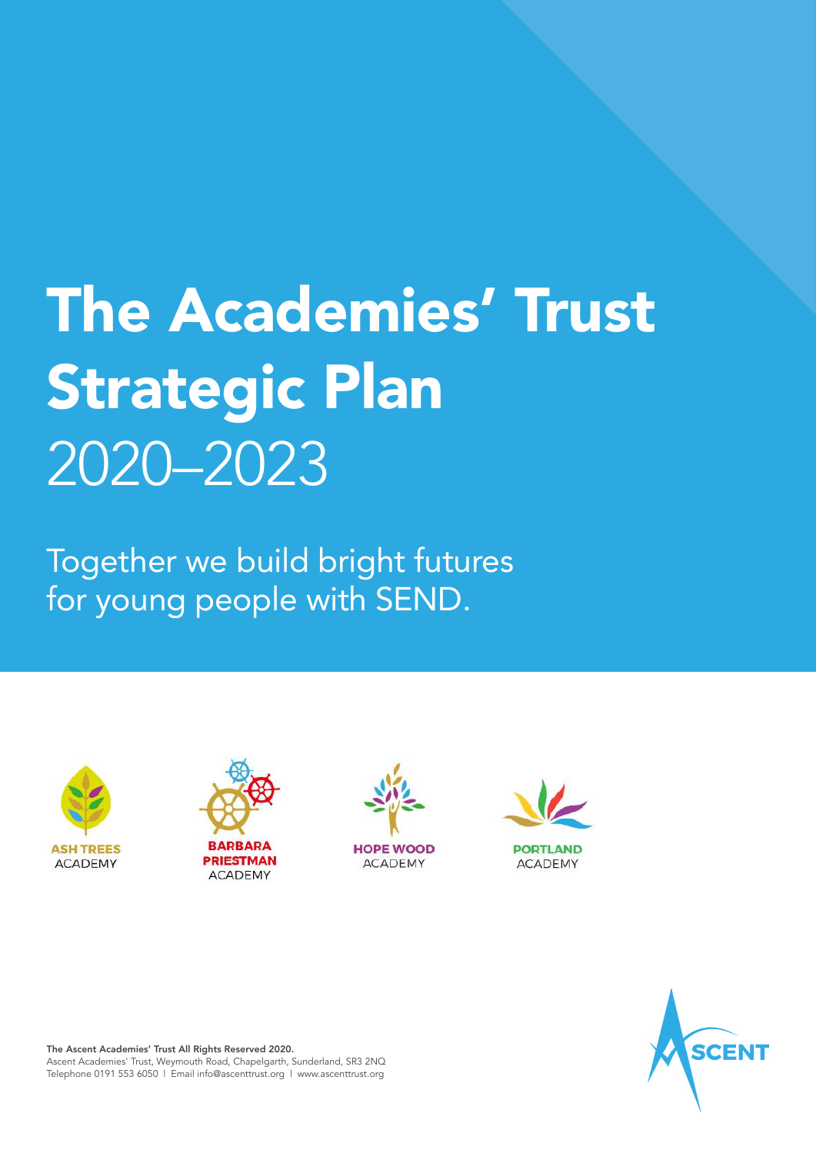# The Academies' Trust Strategic Plan 2020–2023

Together we build bright futures for young people with SEND.







**ACADEMY** 





The Ascent Academies' Trust All Rights Reserved 2020. Ascent Academies' Trust, Weymouth Road, Chapelgarth, Sunderland, SR3 2NQ Telephone 0191 553 6050 | Email info@ascenttrust.org | www.ascenttrust.org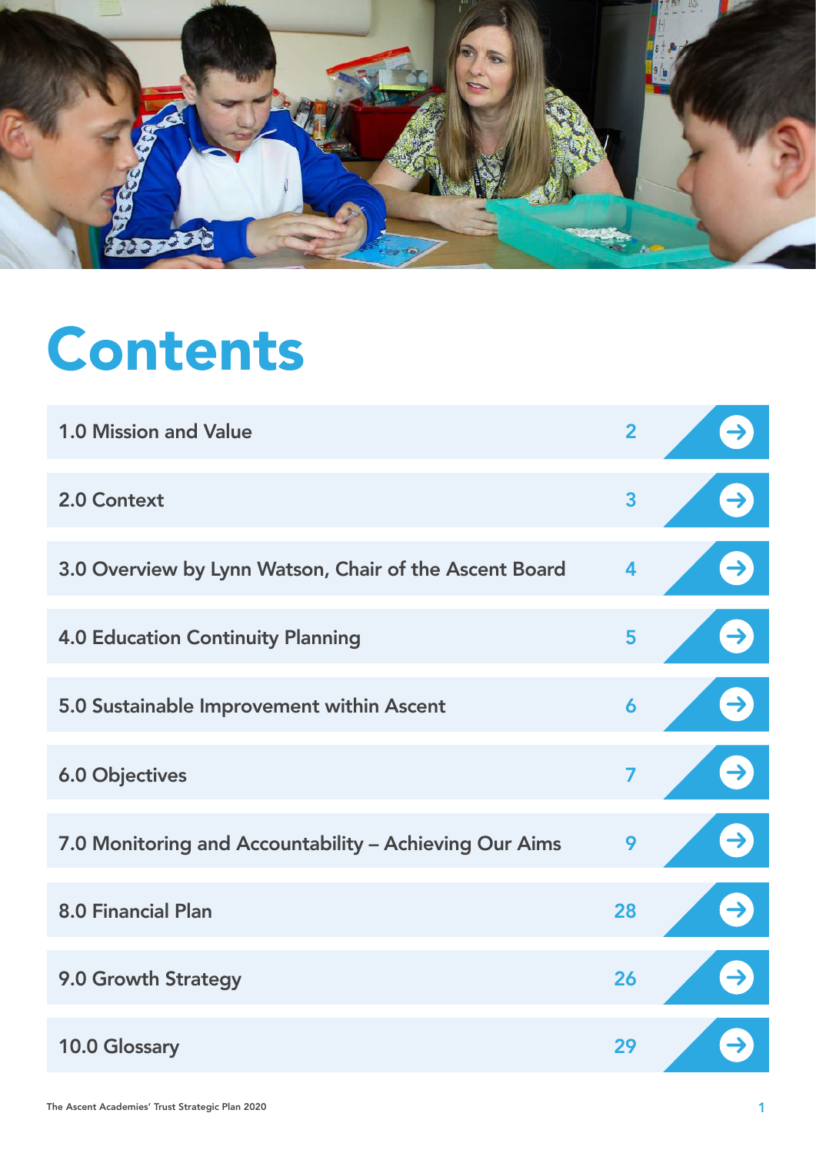

## Contents

| <b>1.0 Mission and Value</b>                           | $\overline{2}$ |  |
|--------------------------------------------------------|----------------|--|
| 2.0 Context                                            | 3              |  |
| 3.0 Overview by Lynn Watson, Chair of the Ascent Board | 4              |  |
| <b>4.0 Education Continuity Planning</b>               | 5              |  |
| 5.0 Sustainable Improvement within Ascent              | 6              |  |
| <b>6.0 Objectives</b>                                  | 7              |  |
| 7.0 Monitoring and Accountability - Achieving Our Aims | 9              |  |
| <b>8.0 Financial Plan</b>                              | 28             |  |
| 9.0 Growth Strategy                                    | 26             |  |
| <b>10.0 Glossary</b>                                   | 29             |  |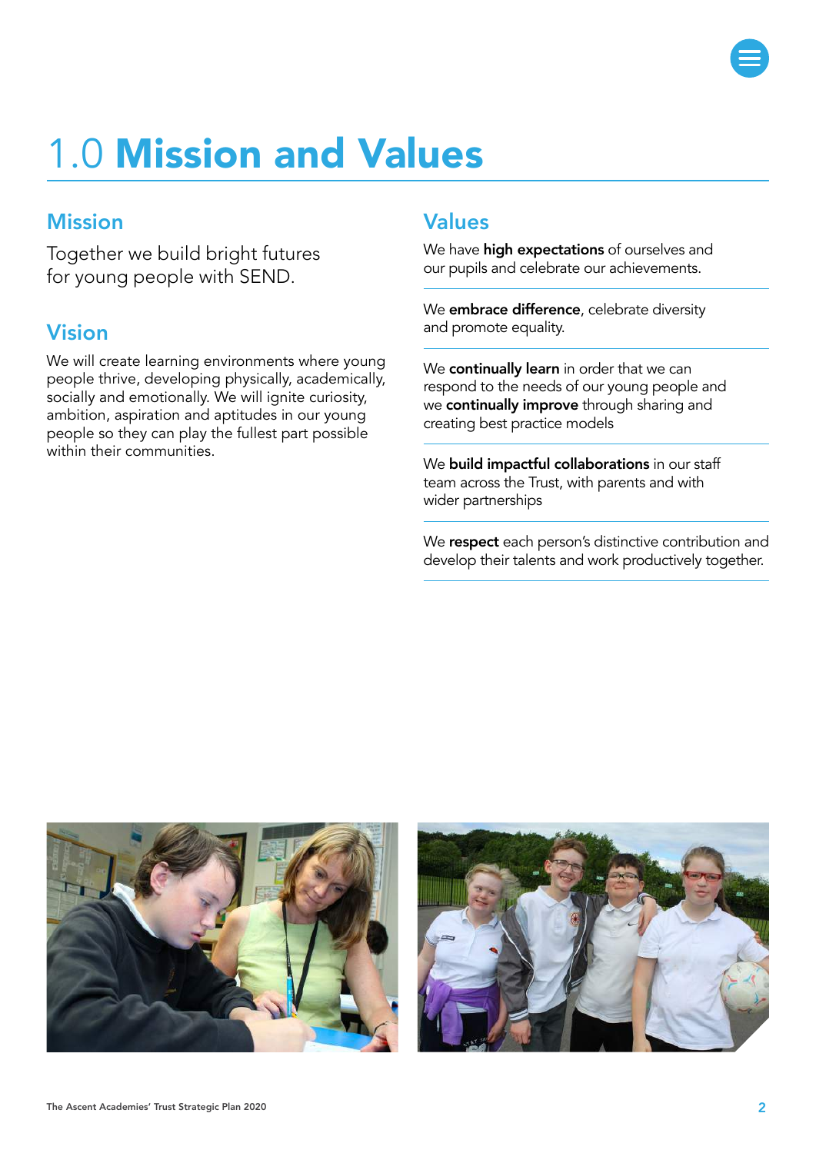

## 1.0 Mission and Values

### **Mission**

Together we build bright futures for young people with SEND.

### Vision

We will create learning environments where young people thrive, developing physically, academically, socially and emotionally. We will ignite curiosity, ambition, aspiration and aptitudes in our young people so they can play the fullest part possible within their communities.

### Values

We have **high expectations** of ourselves and our pupils and celebrate our achievements.

We embrace difference, celebrate diversity and promote equality.

We continually learn in order that we can respond to the needs of our young people and we continually improve through sharing and creating best practice models

We **build impactful collaborations** in our staff team across the Trust, with parents and with wider partnerships

We respect each person's distinctive contribution and develop their talents and work productively together.



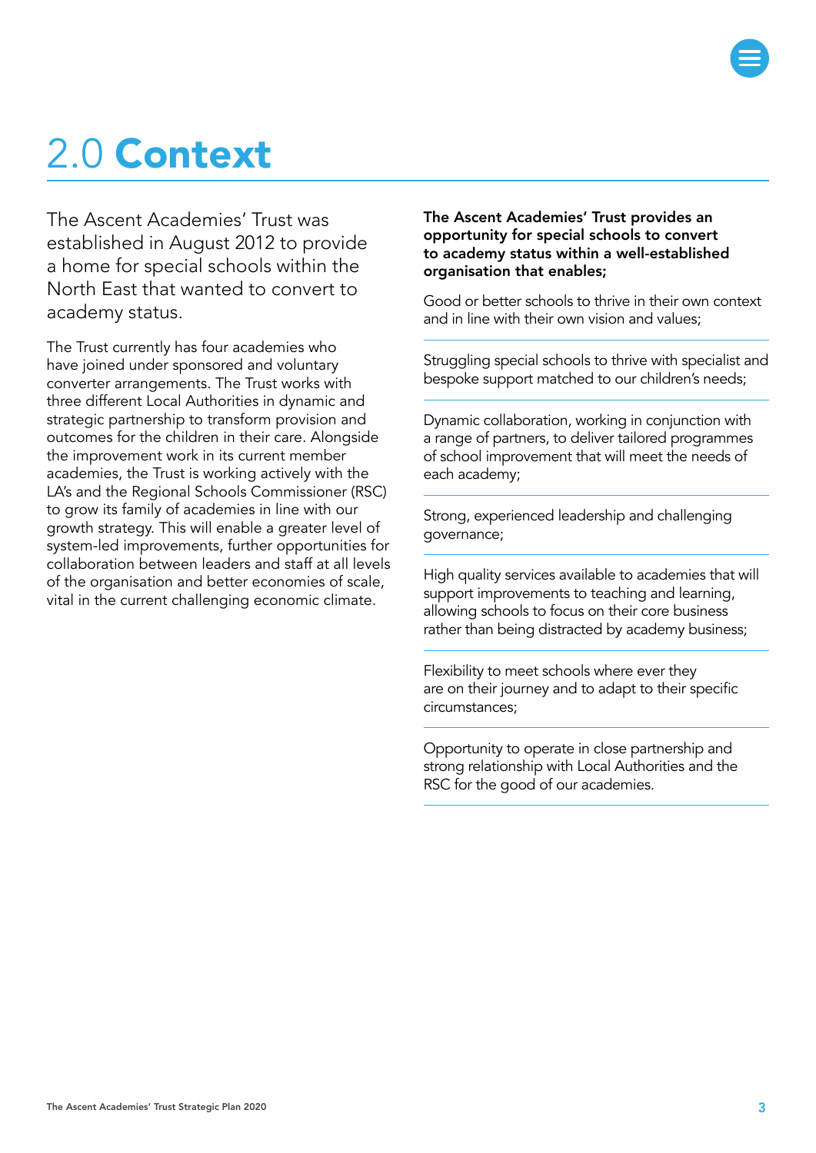

## 2.0 Context

The Ascent Academies' Trust was established in August 2012 to provide a home for special schools within the North East that wanted to convert to academy status.

The Trust currently has four academies who have joined under sponsored and voluntary converter arrangements. The Trust works with three different Local Authorities in dynamic and strategic partnership to transform provision and outcomes for the children in their care. Alongside the improvement work in its current member academies, the Trust is working actively with the LA's and the Regional Schools Commissioner (RSC) to grow its family of academies in line with our growth strategy. This will enable a greater level of system-led improvements, further opportunities for collaboration between leaders and staff at all levels of the organisation and better economies of scale, vital in the current challenging economic climate.

#### The Ascent Academies' Trust provides an opportunity for special schools to convert to academy status within a well-established organisation that enables;

Good or better schools to thrive in their own context and in line with their own vision and values;

Struggling special schools to thrive with specialist and bespoke support matched to our children's needs;

Dynamic collaboration, working in conjunction with a range of partners, to deliver tailored programmes of school improvement that will meet the needs of each academy;

Strong, experienced leadership and challenging governance;

High quality services available to academies that will support improvements to teaching and learning, allowing schools to focus on their core business rather than being distracted by academy business;

Flexibility to meet schools where ever they are on their journey and to adapt to their specific circumstances;

Opportunity to operate in close partnership and strong relationship with Local Authorities and the RSC for the good of our academies.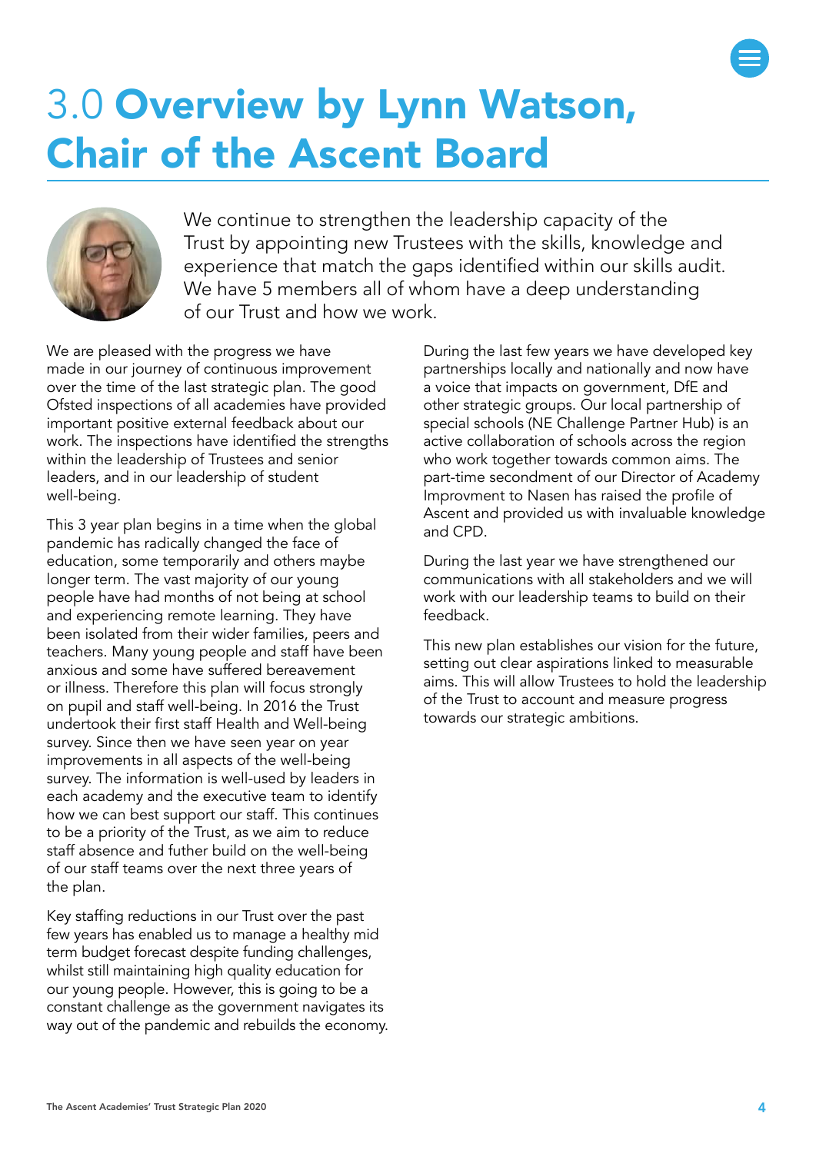

## 3.0 Overview by Lynn Watson, Chair of the Ascent Board



 We continue to strengthen the leadership capacity of the Trust by appointing new Trustees with the skills, knowledge and experience that match the gaps identified within our skills audit. We have 5 members all of whom have a deep understanding of our Trust and how we work.

We are pleased with the progress we have made in our journey of continuous improvement over the time of the last strategic plan. The good Ofsted inspections of all academies have provided important positive external feedback about our work. The inspections have identified the strengths within the leadership of Trustees and senior leaders, and in our leadership of student well-being.

This 3 year plan begins in a time when the global pandemic has radically changed the face of education, some temporarily and others maybe longer term. The vast majority of our young people have had months of not being at school and experiencing remote learning. They have been isolated from their wider families, peers and teachers. Many young people and staff have been anxious and some have suffered bereavement or illness. Therefore this plan will focus strongly on pupil and staff well-being. In 2016 the Trust undertook their first staff Health and Well-being survey. Since then we have seen year on year improvements in all aspects of the well-being survey. The information is well-used by leaders in each academy and the executive team to identify how we can best support our staff. This continues to be a priority of the Trust, as we aim to reduce staff absence and futher build on the well-being of our staff teams over the next three years of the plan.

Key staffing reductions in our Trust over the past few years has enabled us to manage a healthy mid term budget forecast despite funding challenges, whilst still maintaining high quality education for our young people. However, this is going to be a constant challenge as the government navigates its way out of the pandemic and rebuilds the economy.

During the last few years we have developed key partnerships locally and nationally and now have a voice that impacts on government, DfE and other strategic groups. Our local partnership of special schools (NE Challenge Partner Hub) is an active collaboration of schools across the region who work together towards common aims. The part-time secondment of our Director of Academy Improvment to Nasen has raised the profile of Ascent and provided us with invaluable knowledge and CPD.

During the last year we have strengthened our communications with all stakeholders and we will work with our leadership teams to build on their feedback.

This new plan establishes our vision for the future, setting out clear aspirations linked to measurable aims. This will allow Trustees to hold the leadership of the Trust to account and measure progress towards our strategic ambitions.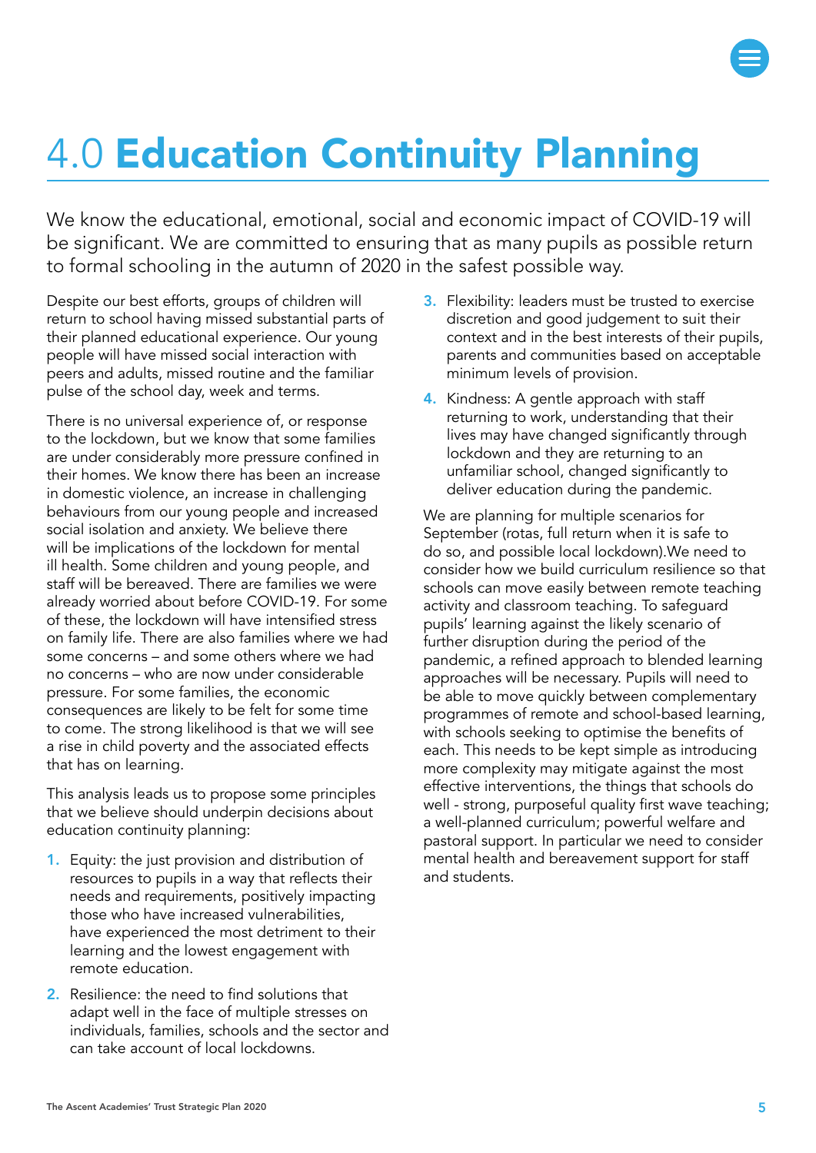

## 4.0 Education Continuity Planning

We know the educational, emotional, social and economic impact of COVID-19 will be significant. We are committed to ensuring that as many pupils as possible return to formal schooling in the autumn of 2020 in the safest possible way.

Despite our best efforts, groups of children will return to school having missed substantial parts of their planned educational experience. Our young people will have missed social interaction with peers and adults, missed routine and the familiar pulse of the school day, week and terms.

There is no universal experience of, or response to the lockdown, but we know that some families are under considerably more pressure confined in their homes. We know there has been an increase in domestic violence, an increase in challenging behaviours from our young people and increased social isolation and anxiety. We believe there will be implications of the lockdown for mental ill health. Some children and young people, and staff will be bereaved. There are families we were already worried about before COVID-19. For some of these, the lockdown will have intensified stress on family life. There are also families where we had some concerns – and some others where we had no concerns – who are now under considerable pressure. For some families, the economic consequences are likely to be felt for some time to come. The strong likelihood is that we will see a rise in child poverty and the associated effects that has on learning.

This analysis leads us to propose some principles that we believe should underpin decisions about education continuity planning:

- 1. Equity: the just provision and distribution of resources to pupils in a way that reflects their needs and requirements, positively impacting those who have increased vulnerabilities, have experienced the most detriment to their learning and the lowest engagement with remote education.
- 2. Resilience: the need to find solutions that adapt well in the face of multiple stresses on individuals, families, schools and the sector and can take account of local lockdowns.
- 3. Flexibility: leaders must be trusted to exercise discretion and good judgement to suit their context and in the best interests of their pupils, parents and communities based on acceptable minimum levels of provision.
- 4. Kindness: A gentle approach with staff returning to work, understanding that their lives may have changed significantly through lockdown and they are returning to an unfamiliar school, changed significantly to deliver education during the pandemic.

We are planning for multiple scenarios for September (rotas, full return when it is safe to do so, and possible local lockdown).We need to consider how we build curriculum resilience so that schools can move easily between remote teaching activity and classroom teaching. To safeguard pupils' learning against the likely scenario of further disruption during the period of the pandemic, a refined approach to blended learning approaches will be necessary. Pupils will need to be able to move quickly between complementary programmes of remote and school-based learning, with schools seeking to optimise the benefits of each. This needs to be kept simple as introducing more complexity may mitigate against the most effective interventions, the things that schools do well - strong, purposeful quality first wave teaching; a well-planned curriculum; powerful welfare and pastoral support. In particular we need to consider mental health and bereavement support for staff and students.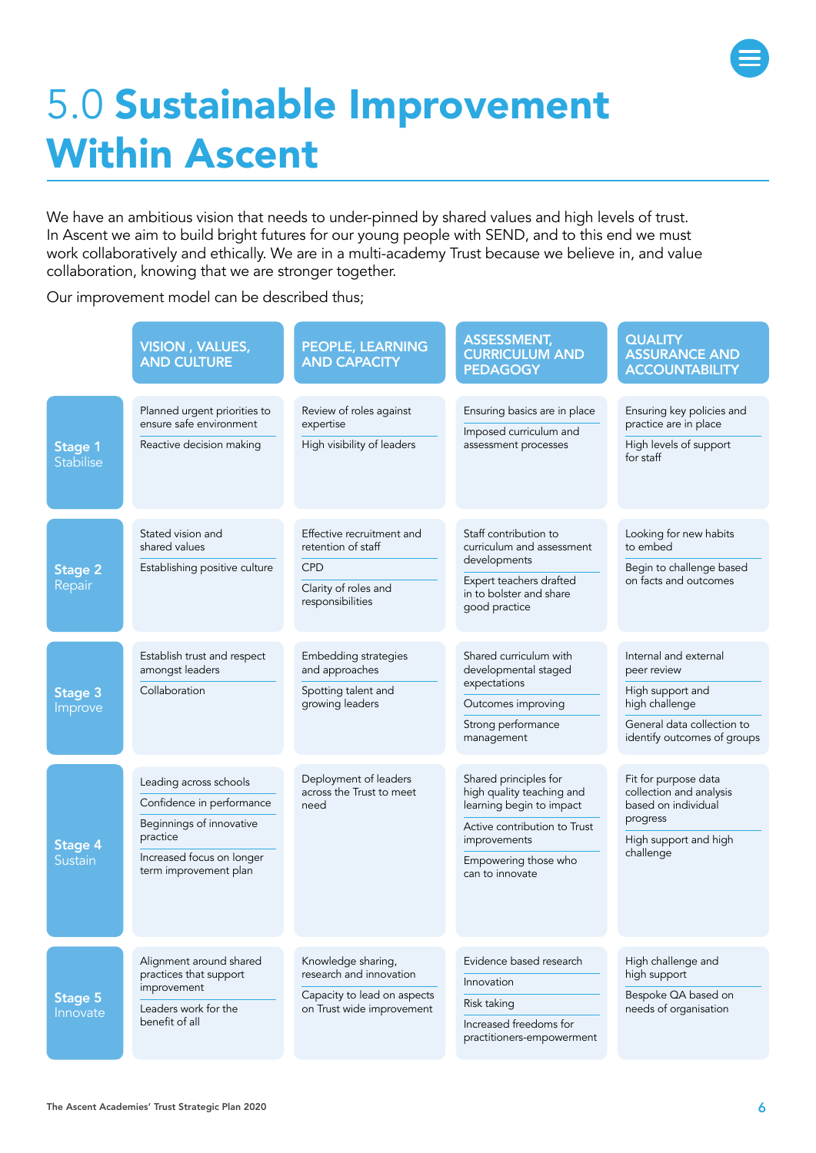

## 5.0 Sustainable Improvement Within Ascent

We have an ambitious vision that needs to under-pinned by shared values and high levels of trust. In Ascent we aim to build bright futures for our young people with SEND, and to this end we must work collaboratively and ethically. We are in a multi-academy Trust because we believe in, and value collaboration, knowing that we are stronger together.

Our improvement model can be described thus;

|                                    | <b>VISION, VALUES,</b><br><b>AND CULTURE</b>                                                                                                      | <b>PEOPLE, LEARNING</b><br><b>AND CAPACITY</b>                                                            | <b>ASSESSMENT,</b><br><b>CURRICULUM AND</b><br><b>PEDAGOGY</b>                                                                                                            | <b>QUALITY</b><br><b>ASSURANCE AND</b><br><b>ACCOUNTABILITY</b>                                                                         |
|------------------------------------|---------------------------------------------------------------------------------------------------------------------------------------------------|-----------------------------------------------------------------------------------------------------------|---------------------------------------------------------------------------------------------------------------------------------------------------------------------------|-----------------------------------------------------------------------------------------------------------------------------------------|
| <b>Stage 1</b><br><b>Stabilise</b> | Planned urgent priorities to<br>ensure safe environment<br>Reactive decision making                                                               | Review of roles against<br>expertise<br>High visibility of leaders                                        | Ensuring basics are in place<br>Imposed curriculum and<br>assessment processes                                                                                            | Ensuring key policies and<br>practice are in place<br>High levels of support<br>for staff                                               |
| <b>Stage 2</b><br>Repair           | Stated vision and<br>shared values<br>Establishing positive culture                                                                               | Effective recruitment and<br>retention of staff<br><b>CPD</b><br>Clarity of roles and<br>responsibilities | Staff contribution to<br>curriculum and assessment<br>developments<br>Expert teachers drafted<br>in to bolster and share<br>good practice                                 | Looking for new habits<br>to embed<br>Begin to challenge based<br>on facts and outcomes                                                 |
| <b>Stage 3</b><br>Improve          | Establish trust and respect<br>amongst leaders<br>Collaboration                                                                                   | <b>Embedding strategies</b><br>and approaches<br>Spotting talent and<br>growing leaders                   | Shared curriculum with<br>developmental staged<br>expectations<br>Outcomes improving<br>Strong performance<br>management                                                  | Internal and external<br>peer review<br>High support and<br>high challenge<br>General data collection to<br>identify outcomes of groups |
| <b>Stage 4</b><br><b>Sustain</b>   | Leading across schools<br>Confidence in performance<br>Beginnings of innovative<br>practice<br>Increased focus on longer<br>term improvement plan | Deployment of leaders<br>across the Trust to meet<br>need                                                 | Shared principles for<br>high quality teaching and<br>learning begin to impact<br>Active contribution to Trust<br>improvements<br>Empowering those who<br>can to innovate | Fit for purpose data<br>collection and analysis<br>based on individual<br>progress<br>High support and high<br>challenge                |
| Stage 5<br>Innovate                | Alignment around shared<br>practices that support<br>improvement<br>Leaders work for the<br>benefit of all                                        | Knowledge sharing,<br>research and innovation<br>Capacity to lead on aspects<br>on Trust wide improvement | Evidence based research<br>Innovation<br>Risk taking<br>Increased freedoms for<br>practitioners-empowerment                                                               | High challenge and<br>high support<br>Bespoke QA based on<br>needs of organisation                                                      |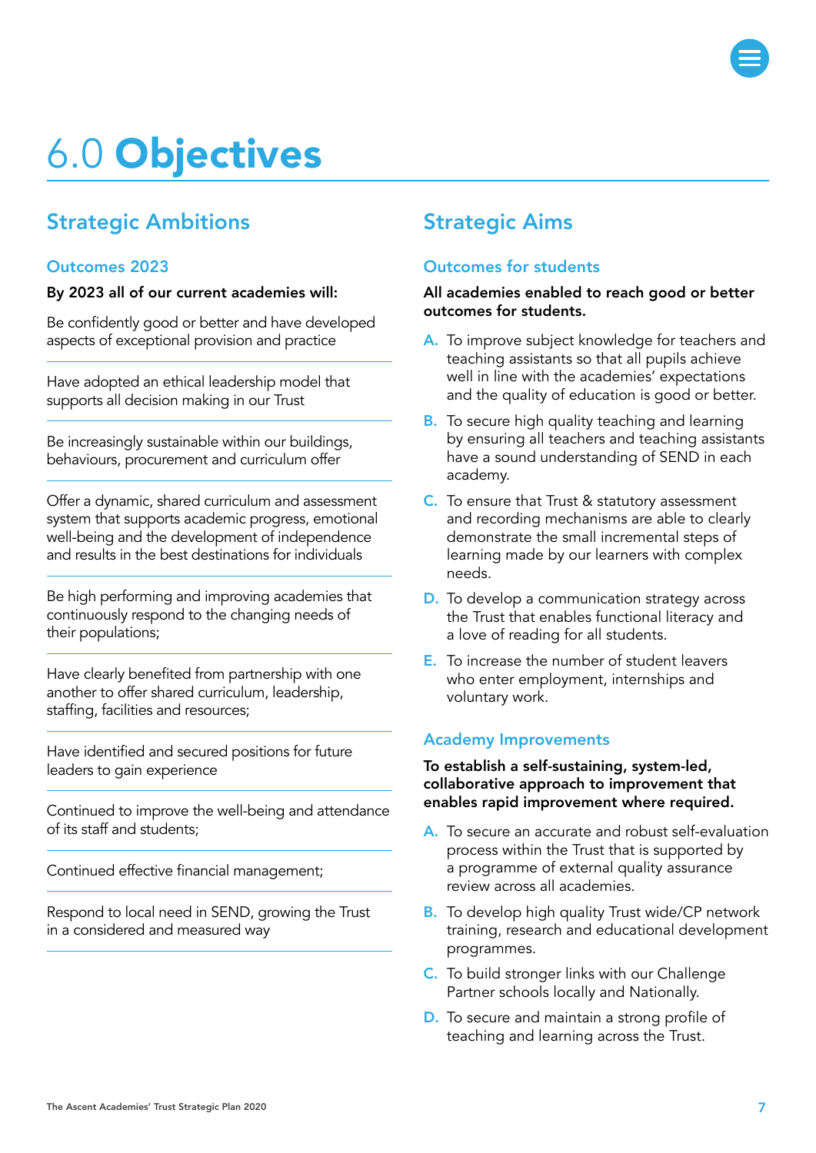

## 6.0 Objectives

## Strategic Ambitions

#### Outcomes 2023

By 2023 all of our current academies will:

Be confidently good or better and have developed aspects of exceptional provision and practice

Have adopted an ethical leadership model that supports all decision making in our Trust

Be increasingly sustainable within our buildings, behaviours, procurement and curriculum offer

Offer a dynamic, shared curriculum and assessment system that supports academic progress, emotional well-being and the development of independence and results in the best destinations for individuals

Be high performing and improving academies that continuously respond to the changing needs of their populations;

Have clearly benefited from partnership with one another to offer shared curriculum, leadership, staffing, facilities and resources;

Have identified and secured positions for future leaders to gain experience

Continued to improve the well-being and attendance of its staff and students;

Continued effective financial management;

Respond to local need in SEND, growing the Trust in a considered and measured way

### Strategic Aims

#### Outcomes for students

#### All academies enabled to reach good or better outcomes for students.

- A. To improve subject knowledge for teachers and teaching assistants so that all pupils achieve well in line with the academies' expectations and the quality of education is good or better.
- **B.** To secure high quality teaching and learning by ensuring all teachers and teaching assistants have a sound understanding of SEND in each academy.
- C. To ensure that Trust & statutory assessment and recording mechanisms are able to clearly demonstrate the small incremental steps of learning made by our learners with complex needs.
- D. To develop a communication strategy across the Trust that enables functional literacy and a love of reading for all students.
- E. To increase the number of student leavers who enter employment, internships and voluntary work.

#### Academy Improvements

To establish a self-sustaining, system-led, collaborative approach to improvement that enables rapid improvement where required.

- A. To secure an accurate and robust self-evaluation process within the Trust that is supported by a programme of external quality assurance review across all academies.
- **B.** To develop high quality Trust wide/CP network training, research and educational development programmes.
- C. To build stronger links with our Challenge Partner schools locally and Nationally.
- D. To secure and maintain a strong profile of teaching and learning across the Trust.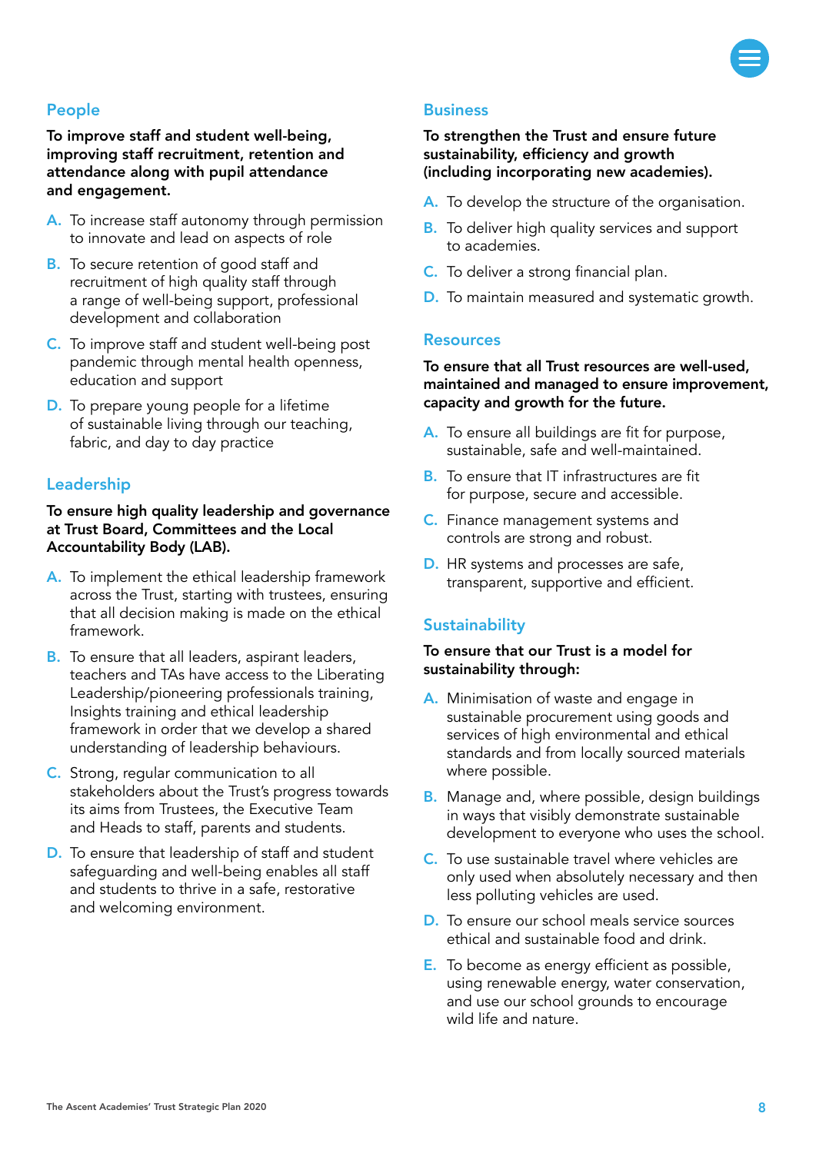

#### People

#### To improve staff and student well-being, improving staff recruitment, retention and attendance along with pupil attendance and engagement.

- A. To increase staff autonomy through permission to innovate and lead on aspects of role
- **B.** To secure retention of good staff and recruitment of high quality staff through a range of well-being support, professional development and collaboration
- C. To improve staff and student well-being post pandemic through mental health openness, education and support
- D. To prepare young people for a lifetime of sustainable living through our teaching, fabric, and day to day practice

#### Leadership

To ensure high quality leadership and governance at Trust Board, Committees and the Local Accountability Body (LAB).

- A. To implement the ethical leadership framework across the Trust, starting with trustees, ensuring that all decision making is made on the ethical framework.
- **B.** To ensure that all leaders, aspirant leaders, teachers and TAs have access to the Liberating Leadership/pioneering professionals training, Insights training and ethical leadership framework in order that we develop a shared understanding of leadership behaviours.
- C. Strong, regular communication to all stakeholders about the Trust's progress towards its aims from Trustees, the Executive Team and Heads to staff, parents and students.
- D. To ensure that leadership of staff and student safeguarding and well-being enables all staff and students to thrive in a safe, restorative and welcoming environment.

#### **Business**

#### To strengthen the Trust and ensure future sustainability, efficiency and growth (including incorporating new academies).

- A. To develop the structure of the organisation.
- **B.** To deliver high quality services and support to academies.
- C. To deliver a strong financial plan.
- D. To maintain measured and systematic growth.

#### **Resources**

#### To ensure that all Trust resources are well-used, maintained and managed to ensure improvement, capacity and growth for the future.

- A. To ensure all buildings are fit for purpose, sustainable, safe and well-maintained.
- **B.** To ensure that IT infrastructures are fit for purpose, secure and accessible.
- C. Finance management systems and controls are strong and robust.
- D. HR systems and processes are safe, transparent, supportive and efficient.

#### **Sustainability**

#### To ensure that our Trust is a model for sustainability through:

- A. Minimisation of waste and engage in sustainable procurement using goods and services of high environmental and ethical standards and from locally sourced materials where possible.
- **B.** Manage and, where possible, design buildings in ways that visibly demonstrate sustainable development to everyone who uses the school.
- C. To use sustainable travel where vehicles are only used when absolutely necessary and then less polluting vehicles are used.
- D. To ensure our school meals service sources ethical and sustainable food and drink.
- E. To become as energy efficient as possible, using renewable energy, water conservation, and use our school grounds to encourage wild life and nature.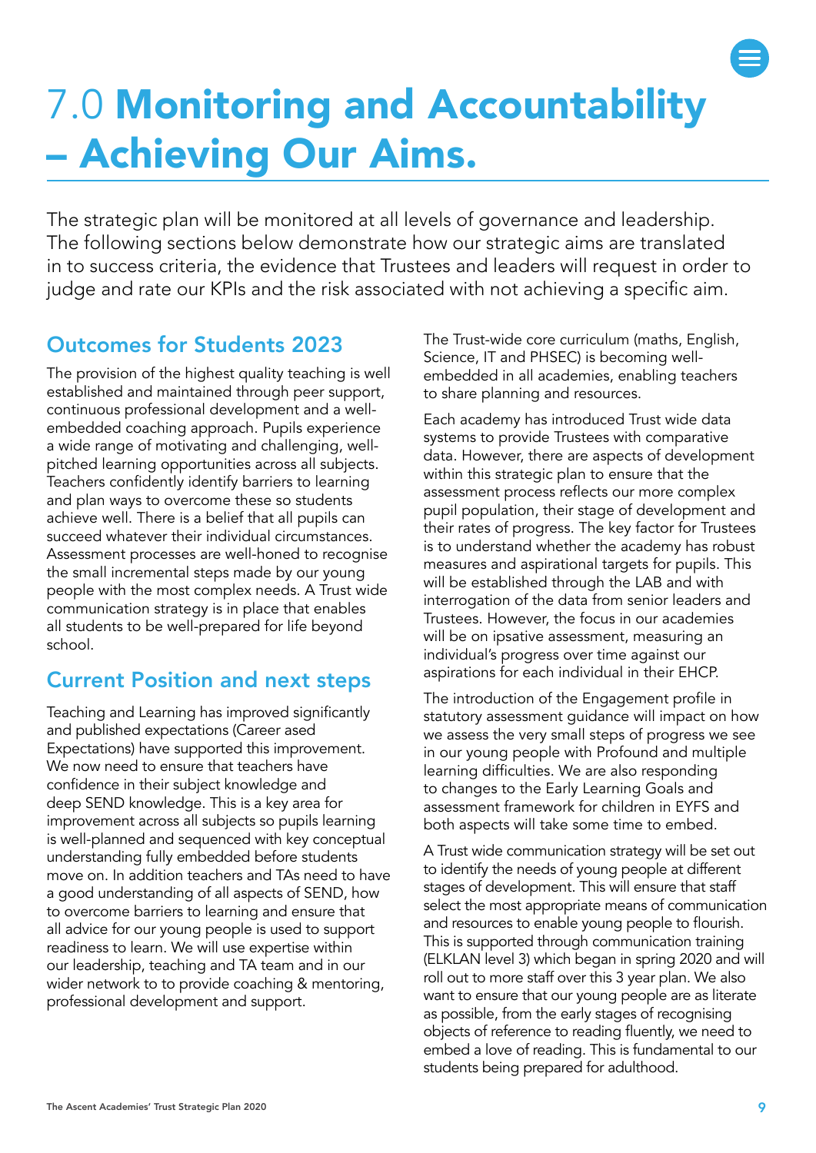## 7.0 Monitoring and Accountability – Achieving Our Aims.

The strategic plan will be monitored at all levels of governance and leadership. The following sections below demonstrate how our strategic aims are translated in to success criteria, the evidence that Trustees and leaders will request in order to judge and rate our KPIs and the risk associated with not achieving a specific aim.

## Outcomes for Students 2023

The provision of the highest quality teaching is well established and maintained through peer support, continuous professional development and a wellembedded coaching approach. Pupils experience a wide range of motivating and challenging, wellpitched learning opportunities across all subjects. Teachers confidently identify barriers to learning and plan ways to overcome these so students achieve well. There is a belief that all pupils can succeed whatever their individual circumstances. Assessment processes are well-honed to recognise the small incremental steps made by our young people with the most complex needs. A Trust wide communication strategy is in place that enables all students to be well-prepared for life beyond school.

### Current Position and next steps

Teaching and Learning has improved significantly and published expectations (Career ased Expectations) have supported this improvement. We now need to ensure that teachers have confidence in their subject knowledge and deep SEND knowledge. This is a key area for improvement across all subjects so pupils learning is well-planned and sequenced with key conceptual understanding fully embedded before students move on. In addition teachers and TAs need to have a good understanding of all aspects of SEND, how to overcome barriers to learning and ensure that all advice for our young people is used to support readiness to learn. We will use expertise within our leadership, teaching and TA team and in our wider network to to provide coaching & mentoring, professional development and support.

The Trust-wide core curriculum (maths, English, Science, IT and PHSEC) is becoming wellembedded in all academies, enabling teachers to share planning and resources.

Each academy has introduced Trust wide data systems to provide Trustees with comparative data. However, there are aspects of development within this strategic plan to ensure that the assessment process reflects our more complex pupil population, their stage of development and their rates of progress. The key factor for Trustees is to understand whether the academy has robust measures and aspirational targets for pupils. This will be established through the LAB and with interrogation of the data from senior leaders and Trustees. However, the focus in our academies will be on ipsative assessment, measuring an individual's progress over time against our aspirations for each individual in their EHCP.

The introduction of the Engagement profile in statutory assessment guidance will impact on how we assess the very small steps of progress we see in our young people with Profound and multiple learning difficulties. We are also responding to changes to the Early Learning Goals and assessment framework for children in EYFS and both aspects will take some time to embed.

A Trust wide communication strategy will be set out to identify the needs of young people at different stages of development. This will ensure that staff select the most appropriate means of communication and resources to enable young people to flourish. This is supported through communication training (ELKLAN level 3) which began in spring 2020 and will roll out to more staff over this 3 year plan. We also want to ensure that our young people are as literate as possible, from the early stages of recognising objects of reference to reading fluently, we need to embed a love of reading. This is fundamental to our students being prepared for adulthood.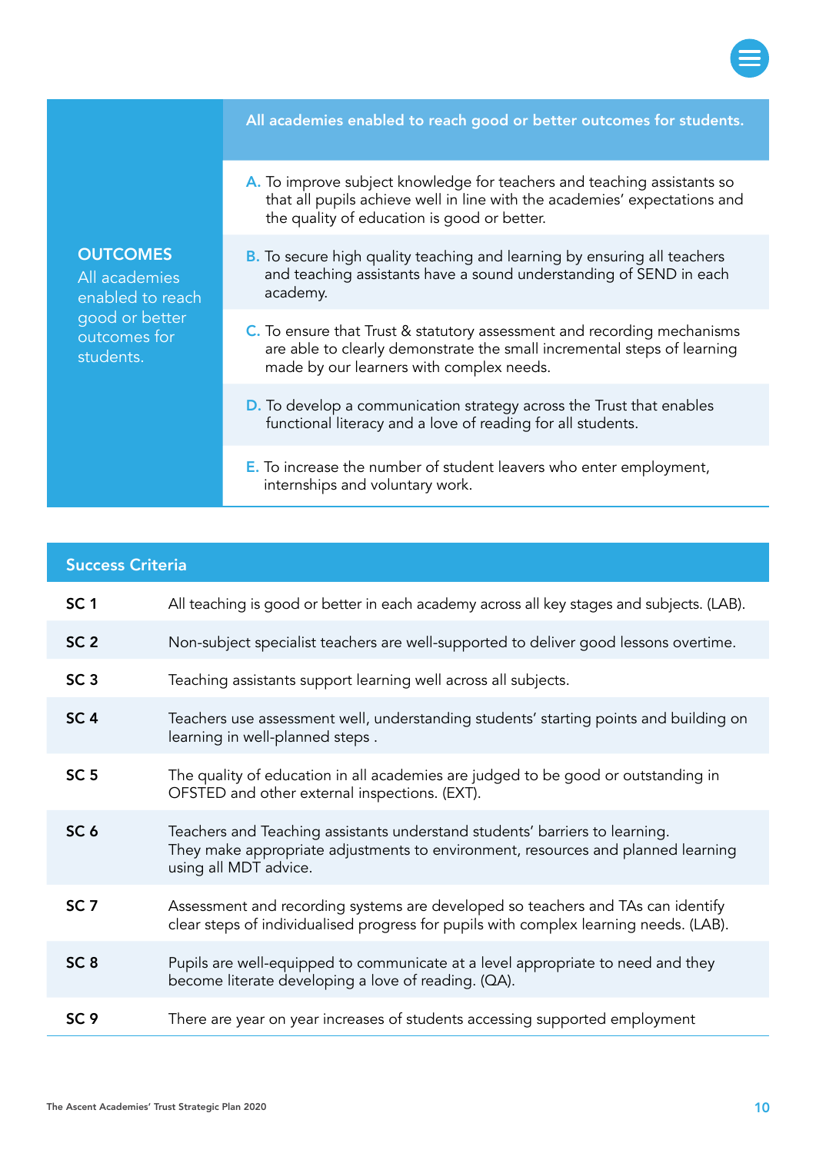

#### All academies enabled to reach good or better outcomes for students.

A. To improve subject knowledge for teachers and teaching assistants so that all pupils achieve well in line with the academies' expectations and the quality of education is good or better.

#### **OUTCOMES**

All academies enabled to reach good or better outcomes for students.

- B. To secure high quality teaching and learning by ensuring all teachers and teaching assistants have a sound understanding of SEND in each academy.
- C. To ensure that Trust & statutory assessment and recording mechanisms are able to clearly demonstrate the small incremental steps of learning made by our learners with complex needs.
- D. To develop a communication strategy across the Trust that enables functional literacy and a love of reading for all students.
- E. To increase the number of student leavers who enter employment, internships and voluntary work.

#### Success Criteria

| SC <sub>1</sub> | All teaching is good or better in each academy across all key stages and subjects. (LAB).                                                                                                |
|-----------------|------------------------------------------------------------------------------------------------------------------------------------------------------------------------------------------|
| SC <sub>2</sub> | Non-subject specialist teachers are well-supported to deliver good lessons overtime.                                                                                                     |
| SC <sub>3</sub> | Teaching assistants support learning well across all subjects.                                                                                                                           |
| SC <sub>4</sub> | Teachers use assessment well, understanding students' starting points and building on<br>learning in well-planned steps.                                                                 |
| SC <sub>5</sub> | The quality of education in all academies are judged to be good or outstanding in<br>OFSTED and other external inspections. (EXT).                                                       |
| SC <sub>6</sub> | Teachers and Teaching assistants understand students' barriers to learning.<br>They make appropriate adjustments to environment, resources and planned learning<br>using all MDT advice. |
| SC <sub>7</sub> | Assessment and recording systems are developed so teachers and TAs can identify<br>clear steps of individualised progress for pupils with complex learning needs. (LAB).                 |
| SC <sub>8</sub> | Pupils are well-equipped to communicate at a level appropriate to need and they<br>become literate developing a love of reading. (QA).                                                   |
| SC <sub>9</sub> | There are year on year increases of students accessing supported employment                                                                                                              |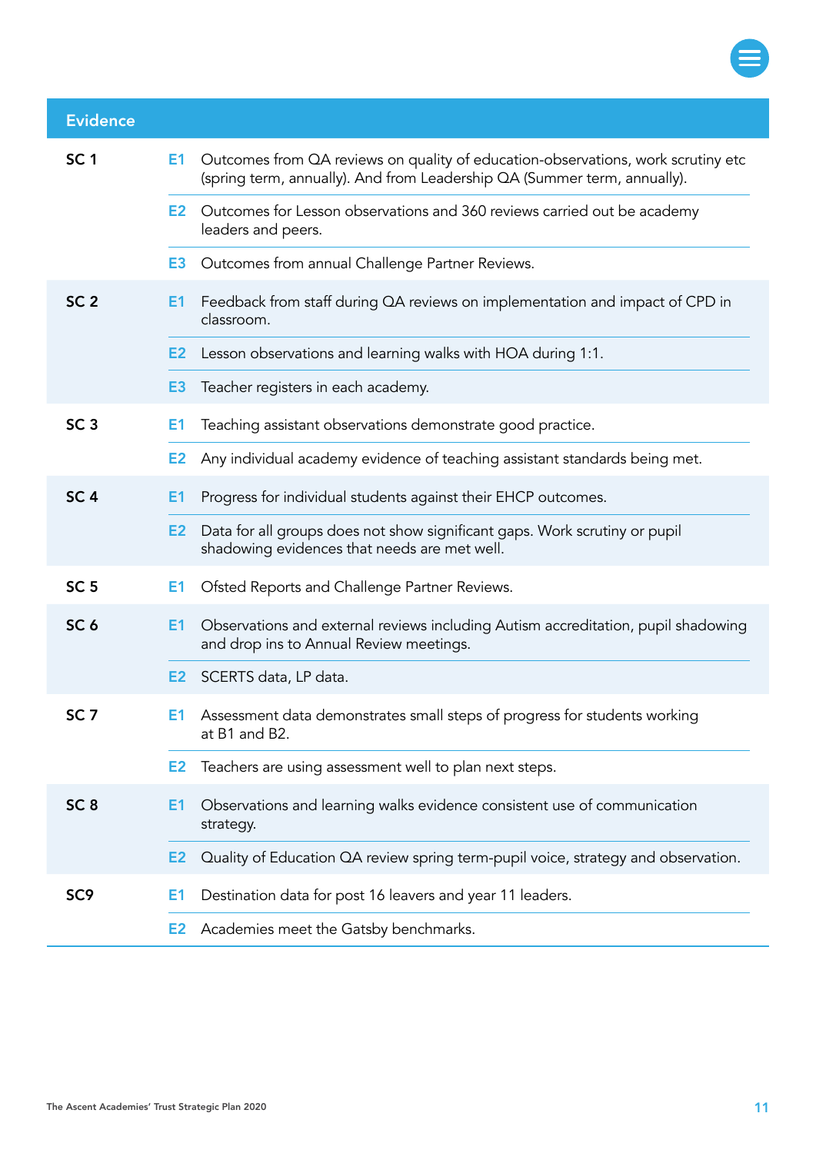

| <b>Evidence</b> |                |                                                                                                                                                              |
|-----------------|----------------|--------------------------------------------------------------------------------------------------------------------------------------------------------------|
| SC <sub>1</sub> | E1             | Outcomes from QA reviews on quality of education-observations, work scrutiny etc<br>(spring term, annually). And from Leadership QA (Summer term, annually). |
|                 | E2             | Outcomes for Lesson observations and 360 reviews carried out be academy<br>leaders and peers.                                                                |
|                 | E3             | Outcomes from annual Challenge Partner Reviews.                                                                                                              |
| SC <sub>2</sub> | E1             | Feedback from staff during QA reviews on implementation and impact of CPD in<br>classroom.                                                                   |
|                 | E <sub>2</sub> | Lesson observations and learning walks with HOA during 1:1.                                                                                                  |
|                 | E3             | Teacher registers in each academy.                                                                                                                           |
| SC <sub>3</sub> | E1             | Teaching assistant observations demonstrate good practice.                                                                                                   |
|                 | E2             | Any individual academy evidence of teaching assistant standards being met.                                                                                   |
| SC <sub>4</sub> | E1             | Progress for individual students against their EHCP outcomes.                                                                                                |
|                 | E2             | Data for all groups does not show significant gaps. Work scrutiny or pupil<br>shadowing evidences that needs are met well.                                   |
| SC <sub>5</sub> | E1             | Ofsted Reports and Challenge Partner Reviews.                                                                                                                |
| SC <sub>6</sub> | E1             | Observations and external reviews including Autism accreditation, pupil shadowing<br>and drop ins to Annual Review meetings.                                 |
|                 | E2             | SCERTS data, LP data.                                                                                                                                        |
| SC <sub>7</sub> | E1             | Assessment data demonstrates small steps of progress for students working<br>at B1 and B2.                                                                   |
|                 | E <sub>2</sub> | Teachers are using assessment well to plan next steps.                                                                                                       |
| SC <sub>8</sub> | E1             | Observations and learning walks evidence consistent use of communication<br>strategy.                                                                        |
|                 | E2             | Quality of Education QA review spring term-pupil voice, strategy and observation.                                                                            |
| SC <sub>9</sub> | E1             | Destination data for post 16 leavers and year 11 leaders.                                                                                                    |
|                 | E <sub>2</sub> | Academies meet the Gatsby benchmarks.                                                                                                                        |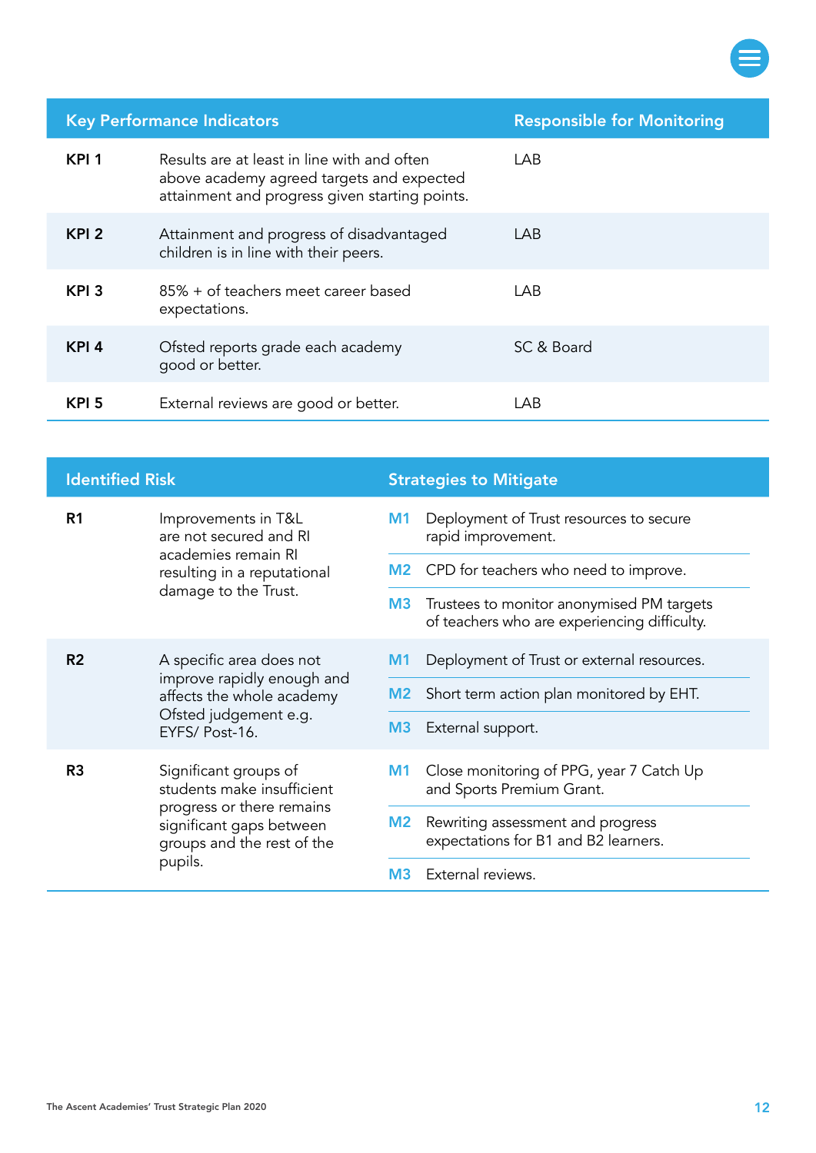

|                  | <b>Key Performance Indicators</b>                                                                                                          | <b>Responsible for Monitoring</b> |
|------------------|--------------------------------------------------------------------------------------------------------------------------------------------|-----------------------------------|
| KPI <sub>1</sub> | Results are at least in line with and often<br>above academy agreed targets and expected<br>attainment and progress given starting points. | I AB                              |
| KPI <sub>2</sub> | Attainment and progress of disadvantaged<br>children is in line with their peers.                                                          | I AB.                             |
| KPI <sub>3</sub> | 85% + of teachers meet career based<br>expectations.                                                                                       | LAB                               |
| KPI <sub>4</sub> | Ofsted reports grade each academy<br>good or better.                                                                                       | SC & Board                        |
| KPI <sub>5</sub> | External reviews are good or better.                                                                                                       | I AB                              |

| <b>Identified Risk</b> |                                                                                                                                                       | <b>Strategies to Mitigate</b> |                                                                                           |
|------------------------|-------------------------------------------------------------------------------------------------------------------------------------------------------|-------------------------------|-------------------------------------------------------------------------------------------|
| R <sub>1</sub>         | Improvements in T&L<br>are not secured and RI<br>academies remain RI<br>resulting in a reputational<br>damage to the Trust.                           | M1                            | Deployment of Trust resources to secure<br>rapid improvement.                             |
|                        |                                                                                                                                                       |                               | M2 CPD for teachers who need to improve.                                                  |
|                        |                                                                                                                                                       | M3                            | Trustees to monitor anonymised PM targets<br>of teachers who are experiencing difficulty. |
| R <sub>2</sub>         | A specific area does not<br>improve rapidly enough and<br>affects the whole academy<br>Ofsted judgement e.g.<br>EYFS/ Post-16.                        | M <sub>1</sub>                | Deployment of Trust or external resources.                                                |
|                        |                                                                                                                                                       | M <sub>2</sub>                | Short term action plan monitored by EHT.                                                  |
|                        |                                                                                                                                                       | M <sub>3</sub>                | External support.                                                                         |
| R <sub>3</sub>         | Significant groups of<br>students make insufficient<br>progress or there remains<br>significant gaps between<br>groups and the rest of the<br>pupils. | M1                            | Close monitoring of PPG, year 7 Catch Up<br>and Sports Premium Grant.                     |
|                        |                                                                                                                                                       | <b>M2</b>                     | Rewriting assessment and progress<br>expectations for B1 and B2 learners.                 |
|                        |                                                                                                                                                       | M3                            | External reviews.                                                                         |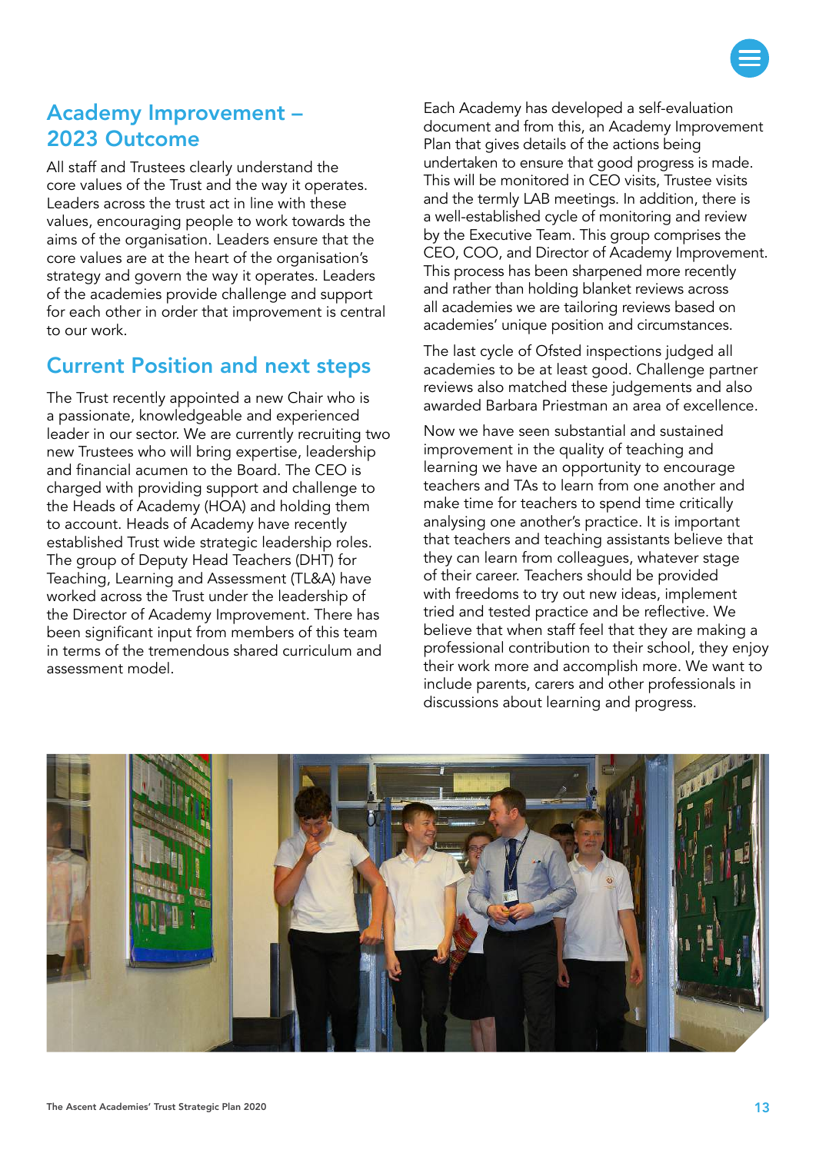## Academy Improvement – 2023 Outcome

All staff and Trustees clearly understand the core values of the Trust and the way it operates. Leaders across the trust act in line with these values, encouraging people to work towards the aims of the organisation. Leaders ensure that the core values are at the heart of the organisation's strategy and govern the way it operates. Leaders of the academies provide challenge and support for each other in order that improvement is central to our work.

### Current Position and next steps

The Trust recently appointed a new Chair who is a passionate, knowledgeable and experienced leader in our sector. We are currently recruiting two new Trustees who will bring expertise, leadership and financial acumen to the Board. The CEO is charged with providing support and challenge to the Heads of Academy (HOA) and holding them to account. Heads of Academy have recently established Trust wide strategic leadership roles. The group of Deputy Head Teachers (DHT) for Teaching, Learning and Assessment (TL&A) have worked across the Trust under the leadership of the Director of Academy Improvement. There has been significant input from members of this team in terms of the tremendous shared curriculum and assessment model.

Each Academy has developed a self-evaluation document and from this, an Academy Improvement Plan that gives details of the actions being undertaken to ensure that good progress is made. This will be monitored in CEO visits, Trustee visits and the termly LAB meetings. In addition, there is a well-established cycle of monitoring and review by the Executive Team. This group comprises the CEO, COO, and Director of Academy Improvement. This process has been sharpened more recently and rather than holding blanket reviews across all academies we are tailoring reviews based on academies' unique position and circumstances.

The last cycle of Ofsted inspections judged all academies to be at least good. Challenge partner reviews also matched these judgements and also awarded Barbara Priestman an area of excellence.

Now we have seen substantial and sustained improvement in the quality of teaching and learning we have an opportunity to encourage teachers and TAs to learn from one another and make time for teachers to spend time critically analysing one another's practice. It is important that teachers and teaching assistants believe that they can learn from colleagues, whatever stage of their career. Teachers should be provided with freedoms to try out new ideas, implement tried and tested practice and be reflective. We believe that when staff feel that they are making a professional contribution to their school, they enjoy their work more and accomplish more. We want to include parents, carers and other professionals in discussions about learning and progress.

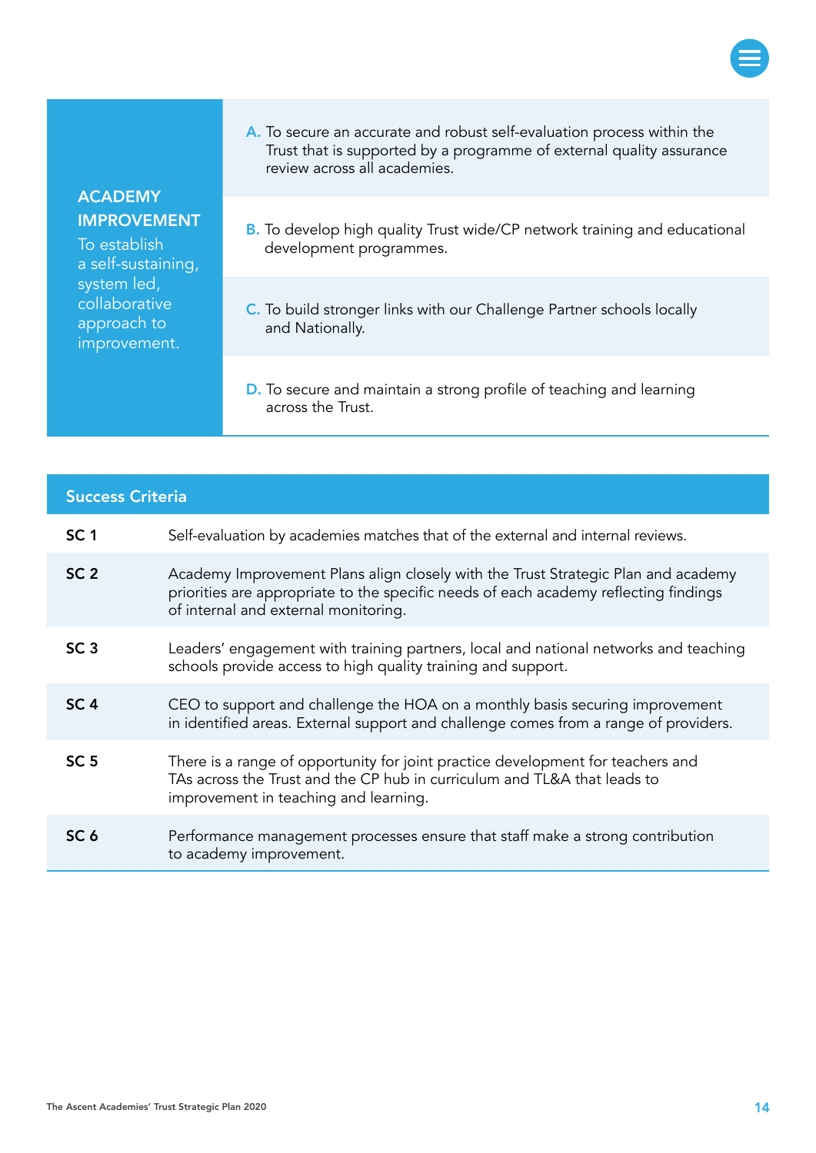

A. To secure an accurate and robust self-evaluation process within the Trust that is supported by a programme of external quality assurance review across all academies.

#### **ACADEMY** IMPROVEMENT

To establish a self-sustaining, system led, collaborative approach to improvement.

- B. To develop high quality Trust wide/CP network training and educational development programmes.
- C. To build stronger links with our Challenge Partner schools locally and Nationally.
- D. To secure and maintain a strong profile of teaching and learning across the Trust.

#### Success Criteria

| SC <sub>1</sub> | Self-evaluation by academies matches that of the external and internal reviews.                                                                                                                                   |
|-----------------|-------------------------------------------------------------------------------------------------------------------------------------------------------------------------------------------------------------------|
| SC <sub>2</sub> | Academy Improvement Plans align closely with the Trust Strategic Plan and academy<br>priorities are appropriate to the specific needs of each academy reflecting findings<br>of internal and external monitoring. |
| SC <sub>3</sub> | Leaders' engagement with training partners, local and national networks and teaching<br>schools provide access to high quality training and support.                                                              |
| SC <sub>4</sub> | CEO to support and challenge the HOA on a monthly basis securing improvement<br>in identified areas. External support and challenge comes from a range of providers.                                              |
| SC <sub>5</sub> | There is a range of opportunity for joint practice development for teachers and<br>TAs across the Trust and the CP hub in curriculum and TL&A that leads to<br>improvement in teaching and learning.              |
| SC <sub>6</sub> | Performance management processes ensure that staff make a strong contribution<br>to academy improvement.                                                                                                          |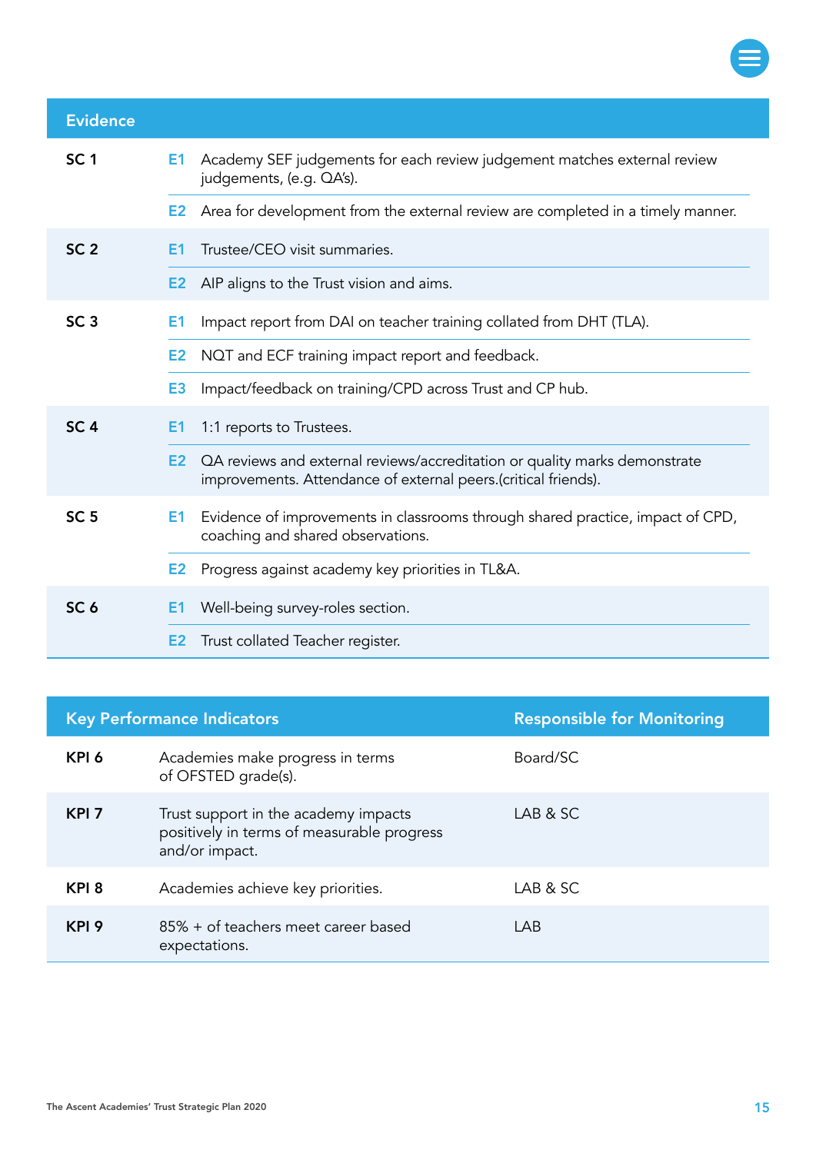

| <b>Evidence</b> |                                                                                                                                                                |
|-----------------|----------------------------------------------------------------------------------------------------------------------------------------------------------------|
| SC <sub>1</sub> | Academy SEF judgements for each review judgement matches external review<br>E1<br>judgements, (e.g. QA's).                                                     |
|                 | Area for development from the external review are completed in a timely manner.<br>E <sub>2</sub>                                                              |
| SC <sub>2</sub> | Trustee/CEO visit summaries.<br>E <sub>1</sub>                                                                                                                 |
|                 | AIP aligns to the Trust vision and aims.<br>E <sub>2</sub>                                                                                                     |
| SC <sub>3</sub> | Impact report from DAI on teacher training collated from DHT (TLA).<br>E <sub>1</sub>                                                                          |
|                 | NQT and ECF training impact report and feedback.<br>E <sub>2</sub>                                                                                             |
|                 | Impact/feedback on training/CPD across Trust and CP hub.<br>E <sub>3</sub>                                                                                     |
| SC <sub>4</sub> | 1:1 reports to Trustees.<br>E1                                                                                                                                 |
|                 | QA reviews and external reviews/accreditation or quality marks demonstrate<br>E <sub>2</sub><br>improvements. Attendance of external peers.(critical friends). |
| SC <sub>5</sub> | Evidence of improvements in classrooms through shared practice, impact of CPD,<br>E <sub>1</sub><br>coaching and shared observations.                          |
|                 | Progress against academy key priorities in TL&A.<br>E <sub>2</sub>                                                                                             |
| SC <sub>6</sub> | Well-being survey-roles section.<br>E1                                                                                                                         |
|                 | Trust collated Teacher register.<br>E2                                                                                                                         |

|                  | <b>Key Performance Indicators</b>                                                                    | <b>Responsible for Monitoring</b> |
|------------------|------------------------------------------------------------------------------------------------------|-----------------------------------|
| KPI <sub>6</sub> | Academies make progress in terms<br>of OFSTED grade(s).                                              | Board/SC                          |
| KPI <sub>7</sub> | Trust support in the academy impacts<br>positively in terms of measurable progress<br>and/or impact. | LAB & SC                          |
| KPI <sub>8</sub> | Academies achieve key priorities.                                                                    | LAB & SC                          |
| KPI <sub>9</sub> | 85% + of teachers meet career based<br>expectations.                                                 | I AB                              |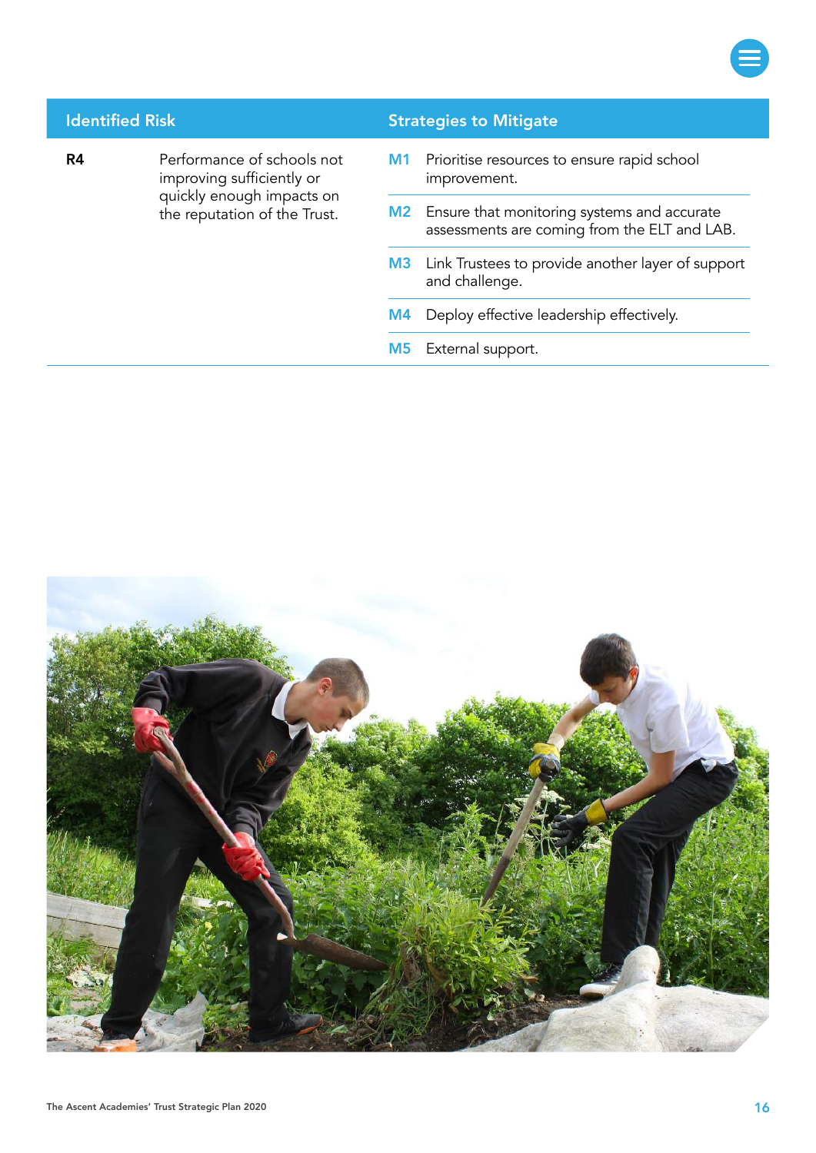

Identified Risk **Strategies to Mitigate** 

- R4 Performance of schools not improving sufficiently or quickly enough impacts on the reputation of the Trust.
	- **M1** Prioritise resources to ensure rapid school improvement. M2 Ensure that monitoring systems and accurate
	- assessments are coming from the ELT and LAB. M3 Link Trustees to provide another layer of support and challenge.
	- M4 Deploy effective leadership effectively.
	- M5 External support.

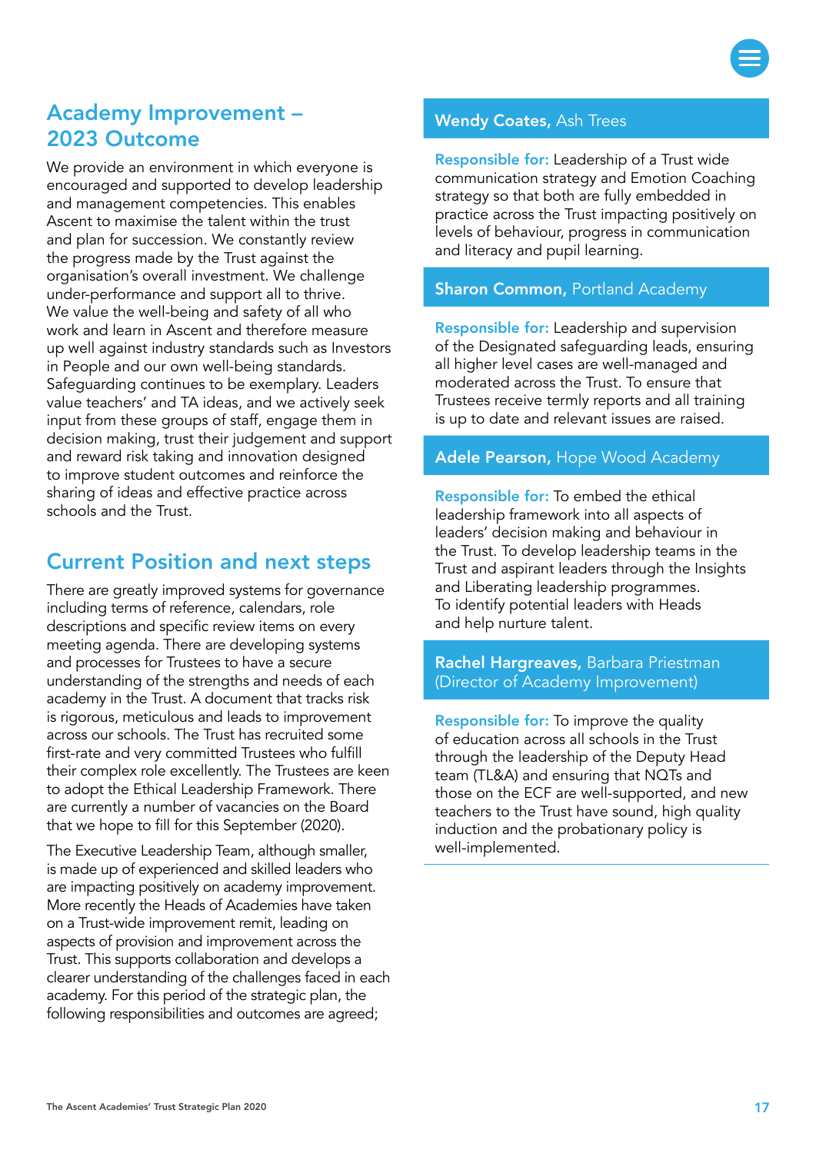

### Academy Improvement – 2023 Outcome

We provide an environment in which everyone is encouraged and supported to develop leadership and management competencies. This enables Ascent to maximise the talent within the trust and plan for succession. We constantly review the progress made by the Trust against the organisation's overall investment. We challenge under-performance and support all to thrive. We value the well-being and safety of all who work and learn in Ascent and therefore measure up well against industry standards such as Investors in People and our own well-being standards. Safeguarding continues to be exemplary. Leaders value teachers' and TA ideas, and we actively seek input from these groups of staff, engage them in decision making, trust their judgement and support and reward risk taking and innovation designed to improve student outcomes and reinforce the sharing of ideas and effective practice across schools and the Trust.

### Current Position and next steps

There are greatly improved systems for governance including terms of reference, calendars, role descriptions and specific review items on every meeting agenda. There are developing systems and processes for Trustees to have a secure understanding of the strengths and needs of each academy in the Trust. A document that tracks risk is rigorous, meticulous and leads to improvement across our schools. The Trust has recruited some first-rate and very committed Trustees who fulfill their complex role excellently. The Trustees are keen to adopt the Ethical Leadership Framework. There are currently a number of vacancies on the Board that we hope to fill for this September (2020).

The Executive Leadership Team, although smaller, is made up of experienced and skilled leaders who are impacting positively on academy improvement. More recently the Heads of Academies have taken on a Trust-wide improvement remit, leading on aspects of provision and improvement across the Trust. This supports collaboration and develops a clearer understanding of the challenges faced in each academy. For this period of the strategic plan, the following responsibilities and outcomes are agreed;

#### Wendy Coates, Ash Trees

Responsible for: Leadership of a Trust wide communication strategy and Emotion Coaching strategy so that both are fully embedded in practice across the Trust impacting positively on levels of behaviour, progress in communication and literacy and pupil learning.

#### **Sharon Common, Portland Academy**

Responsible for: Leadership and supervision of the Designated safeguarding leads, ensuring all higher level cases are well-managed and moderated across the Trust. To ensure that Trustees receive termly reports and all training is up to date and relevant issues are raised.

#### Adele Pearson, Hope Wood Academy

Responsible for: To embed the ethical leadership framework into all aspects of leaders' decision making and behaviour in the Trust. To develop leadership teams in the Trust and aspirant leaders through the Insights and Liberating leadership programmes. To identify potential leaders with Heads and help nurture talent.

#### Rachel Hargreaves, Barbara Priestman (Director of Academy Improvement)

Responsible for: To improve the quality of education across all schools in the Trust through the leadership of the Deputy Head team (TL&A) and ensuring that NQTs and those on the ECF are well-supported, and new teachers to the Trust have sound, high quality induction and the probationary policy is well-implemented.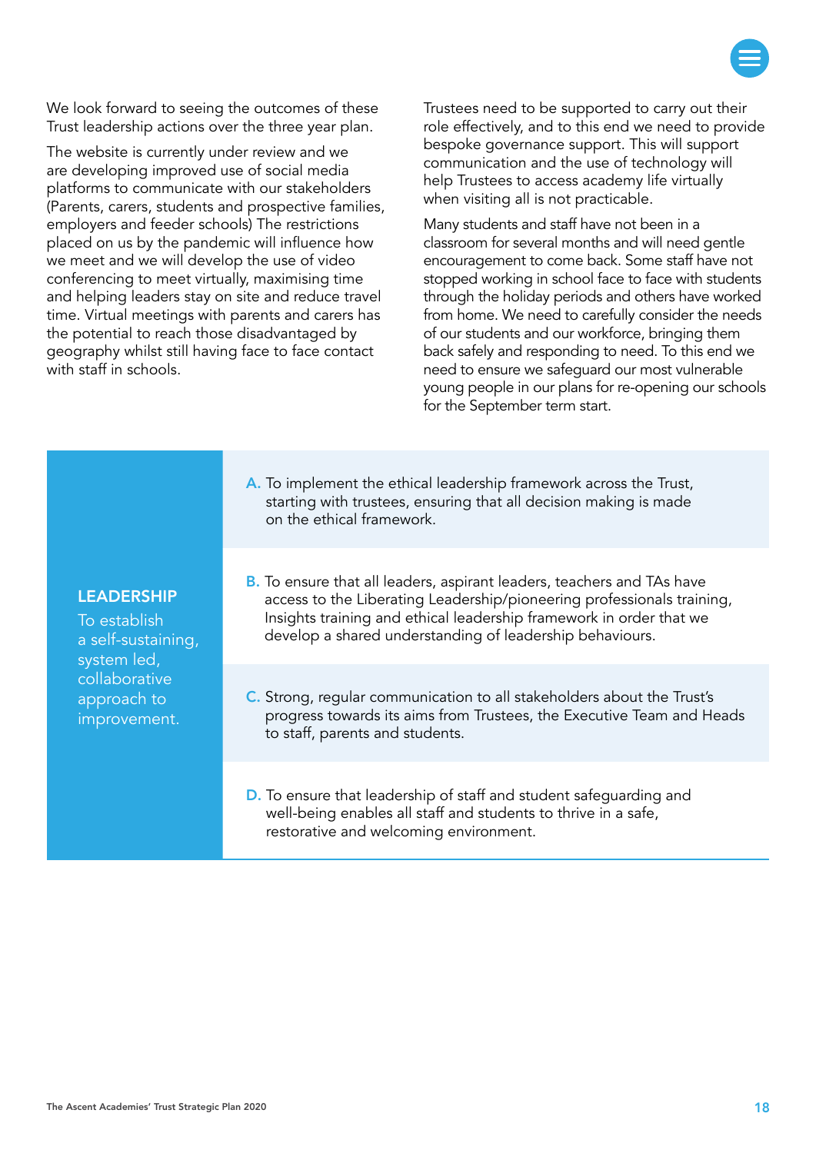We look forward to seeing the outcomes of these Trust leadership actions over the three year plan.

The website is currently under review and we are developing improved use of social media platforms to communicate with our stakeholders (Parents, carers, students and prospective families, employers and feeder schools) The restrictions placed on us by the pandemic will influence how we meet and we will develop the use of video conferencing to meet virtually, maximising time and helping leaders stay on site and reduce travel time. Virtual meetings with parents and carers has the potential to reach those disadvantaged by geography whilst still having face to face contact with staff in schools.

Trustees need to be supported to carry out their role effectively, and to this end we need to provide bespoke governance support. This will support communication and the use of technology will help Trustees to access academy life virtually when visiting all is not practicable.

Many students and staff have not been in a classroom for several months and will need gentle encouragement to come back. Some staff have not stopped working in school face to face with students through the holiday periods and others have worked from home. We need to carefully consider the needs of our students and our workforce, bringing them back safely and responding to need. To this end we need to ensure we safeguard our most vulnerable young people in our plans for re-opening our schools for the September term start.

A. To implement the ethical leadership framework across the Trust, starting with trustees, ensuring that all decision making is made on the ethical framework.

#### **LEADERSHIP**

To establish a self-sustaining, system led, collaborative approach to improvement.

- B. To ensure that all leaders, aspirant leaders, teachers and TAs have access to the Liberating Leadership/pioneering professionals training, Insights training and ethical leadership framework in order that we develop a shared understanding of leadership behaviours.
- C. Strong, regular communication to all stakeholders about the Trust's progress towards its aims from Trustees, the Executive Team and Heads to staff, parents and students.
- D. To ensure that leadership of staff and student safeguarding and well-being enables all staff and students to thrive in a safe, restorative and welcoming environment.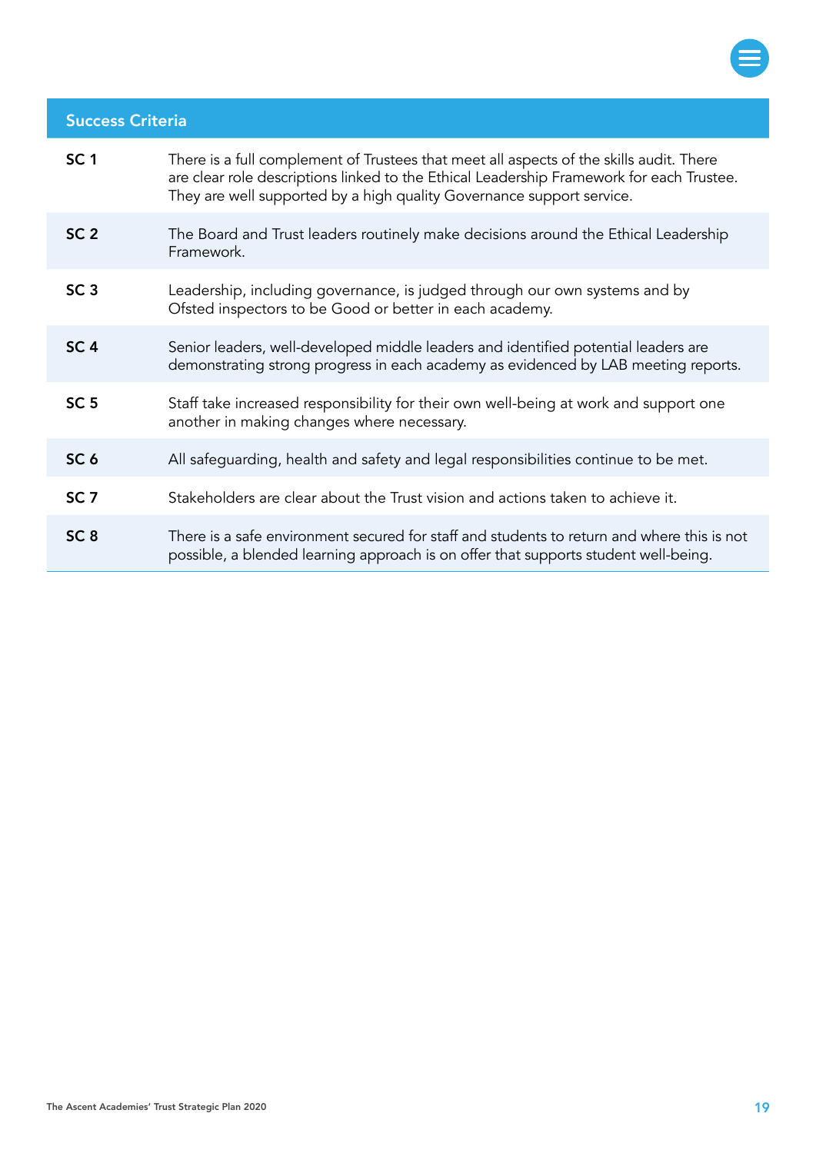

### Success Criteria

| SC <sub>1</sub> | There is a full complement of Trustees that meet all aspects of the skills audit. There<br>are clear role descriptions linked to the Ethical Leadership Framework for each Trustee.<br>They are well supported by a high quality Governance support service. |
|-----------------|--------------------------------------------------------------------------------------------------------------------------------------------------------------------------------------------------------------------------------------------------------------|
| SC <sub>2</sub> | The Board and Trust leaders routinely make decisions around the Ethical Leadership<br>Framework.                                                                                                                                                             |
| SC <sub>3</sub> | Leadership, including governance, is judged through our own systems and by<br>Ofsted inspectors to be Good or better in each academy.                                                                                                                        |
| SC <sub>4</sub> | Senior leaders, well-developed middle leaders and identified potential leaders are<br>demonstrating strong progress in each academy as evidenced by LAB meeting reports.                                                                                     |
| SC <sub>5</sub> | Staff take increased responsibility for their own well-being at work and support one<br>another in making changes where necessary.                                                                                                                           |
| SC <sub>6</sub> | All safeguarding, health and safety and legal responsibilities continue to be met.                                                                                                                                                                           |
| SC <sub>7</sub> | Stakeholders are clear about the Trust vision and actions taken to achieve it.                                                                                                                                                                               |
| SC <sub>8</sub> | There is a safe environment secured for staff and students to return and where this is not<br>possible, a blended learning approach is on offer that supports student well-being.                                                                            |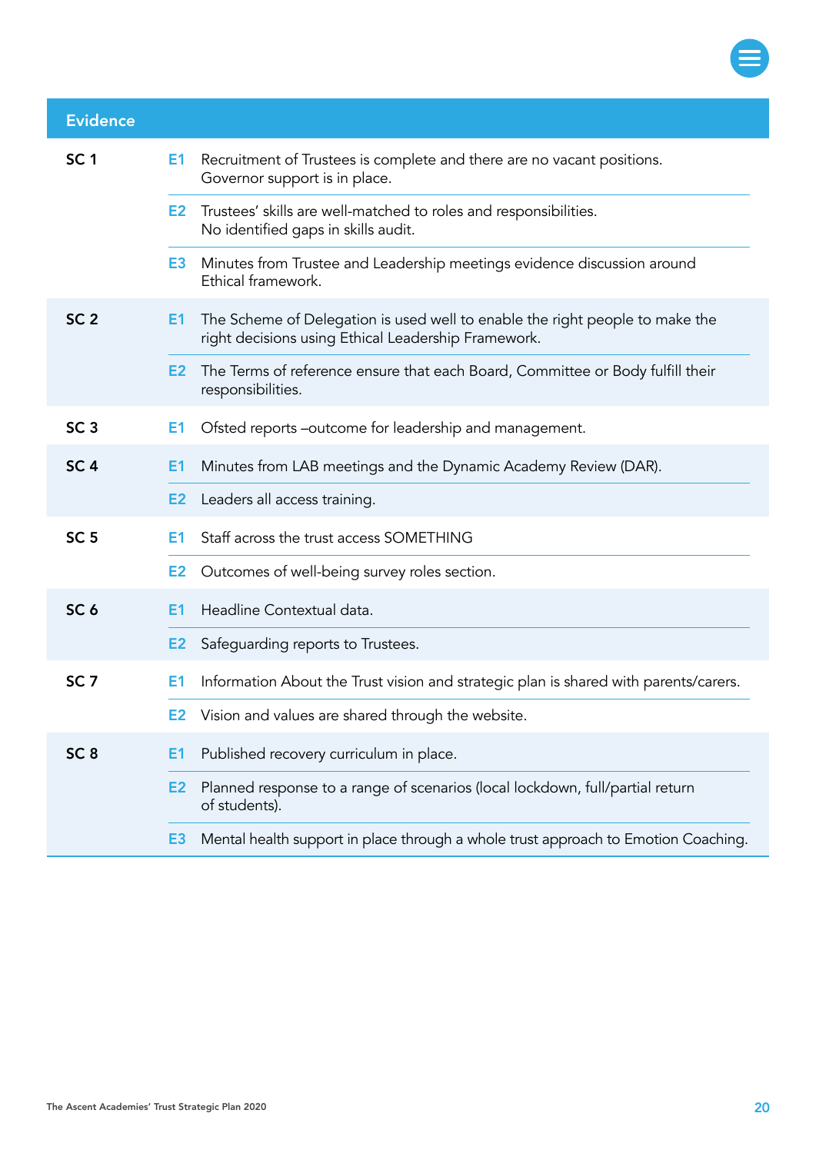

| <b>Evidence</b> |                |                                                                                                                                     |
|-----------------|----------------|-------------------------------------------------------------------------------------------------------------------------------------|
| SC <sub>1</sub> | E1             | Recruitment of Trustees is complete and there are no vacant positions.<br>Governor support is in place.                             |
|                 | E2             | Trustees' skills are well-matched to roles and responsibilities.<br>No identified gaps in skills audit.                             |
|                 | E3             | Minutes from Trustee and Leadership meetings evidence discussion around<br>Ethical framework.                                       |
| SC <sub>2</sub> | E1             | The Scheme of Delegation is used well to enable the right people to make the<br>right decisions using Ethical Leadership Framework. |
|                 | E <sub>2</sub> | The Terms of reference ensure that each Board, Committee or Body fulfill their<br>responsibilities.                                 |
| SC <sub>3</sub> | E1             | Ofsted reports -outcome for leadership and management.                                                                              |
| SC <sub>4</sub> | E1             | Minutes from LAB meetings and the Dynamic Academy Review (DAR).                                                                     |
|                 | E <sub>2</sub> | Leaders all access training.                                                                                                        |
| SC <sub>5</sub> | E1             | Staff across the trust access SOMETHING                                                                                             |
|                 | E <sub>2</sub> | Outcomes of well-being survey roles section.                                                                                        |
| SC <sub>6</sub> | E1             | Headline Contextual data.                                                                                                           |
|                 | E <sub>2</sub> | Safeguarding reports to Trustees.                                                                                                   |
| SC <sub>7</sub> | E1             | Information About the Trust vision and strategic plan is shared with parents/carers.                                                |
|                 | E2             | Vision and values are shared through the website.                                                                                   |
| SC <sub>8</sub> | E1             | Published recovery curriculum in place.                                                                                             |
|                 | E <sub>2</sub> | Planned response to a range of scenarios (local lockdown, full/partial return<br>of students).                                      |
|                 | E3             | Mental health support in place through a whole trust approach to Emotion Coaching.                                                  |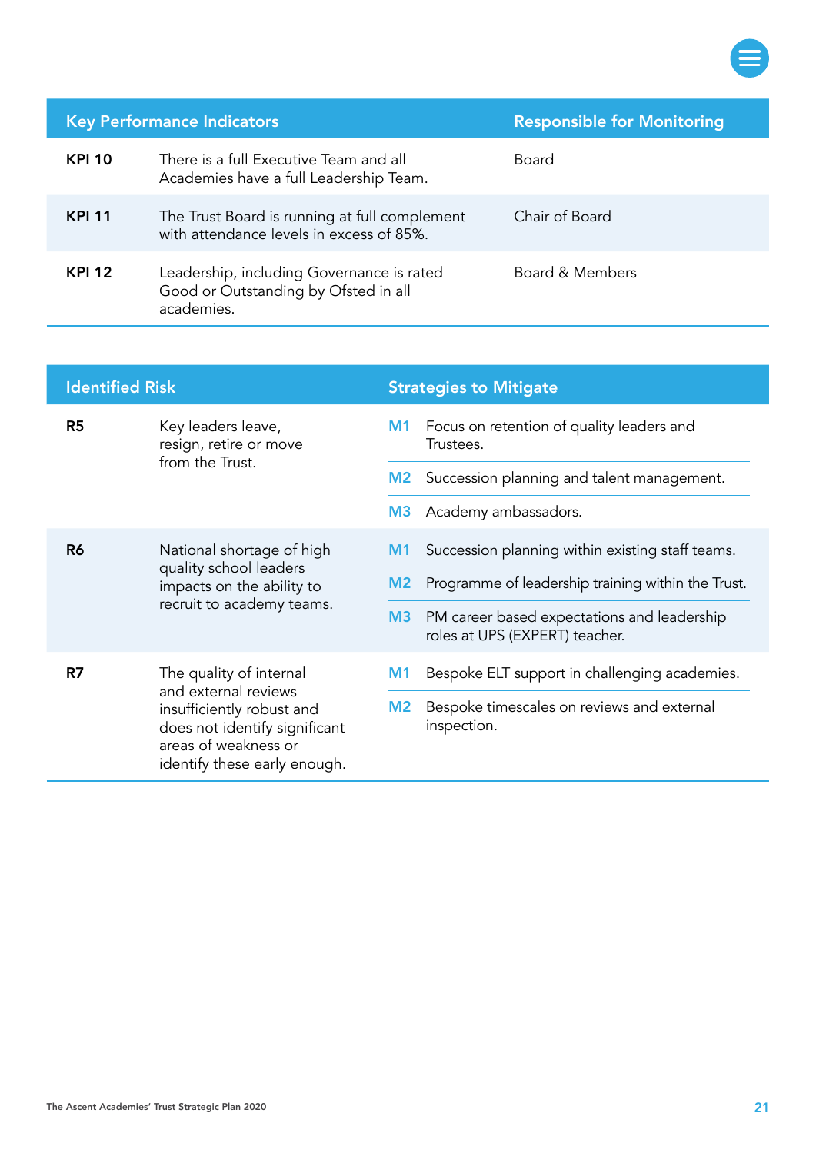

| <b>Key Performance Indicators</b> |                                                                                                 | <b>Responsible for Monitoring</b> |
|-----------------------------------|-------------------------------------------------------------------------------------------------|-----------------------------------|
| <b>KPI 10</b>                     | There is a full Executive Team and all<br>Academies have a full Leadership Team.                | <b>Board</b>                      |
| <b>KPI 11</b>                     | The Trust Board is running at full complement<br>with attendance levels in excess of 85%.       | Chair of Board                    |
| <b>KPI 12</b>                     | Leadership, including Governance is rated<br>Good or Outstanding by Ofsted in all<br>academies. | Board & Members                   |

| <b>Identified Risk</b> |                                                                                                                                            | <b>Strategies to Mitigate</b>                                                                   |  |  |
|------------------------|--------------------------------------------------------------------------------------------------------------------------------------------|-------------------------------------------------------------------------------------------------|--|--|
| R <sub>5</sub>         | Key leaders leave,<br>resign, retire or move<br>from the Trust.                                                                            | Focus on retention of quality leaders and<br>M1<br>Trustees.                                    |  |  |
|                        |                                                                                                                                            | Succession planning and talent management.<br>M <sub>2</sub>                                    |  |  |
|                        |                                                                                                                                            | Academy ambassadors.<br>M3                                                                      |  |  |
| <b>R6</b>              | National shortage of high<br>quality school leaders<br>impacts on the ability to<br>recruit to academy teams.                              | Succession planning within existing staff teams.<br>M <sub>1</sub>                              |  |  |
|                        |                                                                                                                                            | Programme of leadership training within the Trust.<br>M <sub>2</sub>                            |  |  |
|                        |                                                                                                                                            | PM career based expectations and leadership<br>M <sub>3</sub><br>roles at UPS (EXPERT) teacher. |  |  |
| R7                     | The quality of internal                                                                                                                    | Bespoke ELT support in challenging academies.<br>M1                                             |  |  |
|                        | and external reviews<br>insufficiently robust and<br>does not identify significant<br>areas of weakness or<br>identify these early enough. | Bespoke timescales on reviews and external<br>M <sub>2</sub><br>inspection.                     |  |  |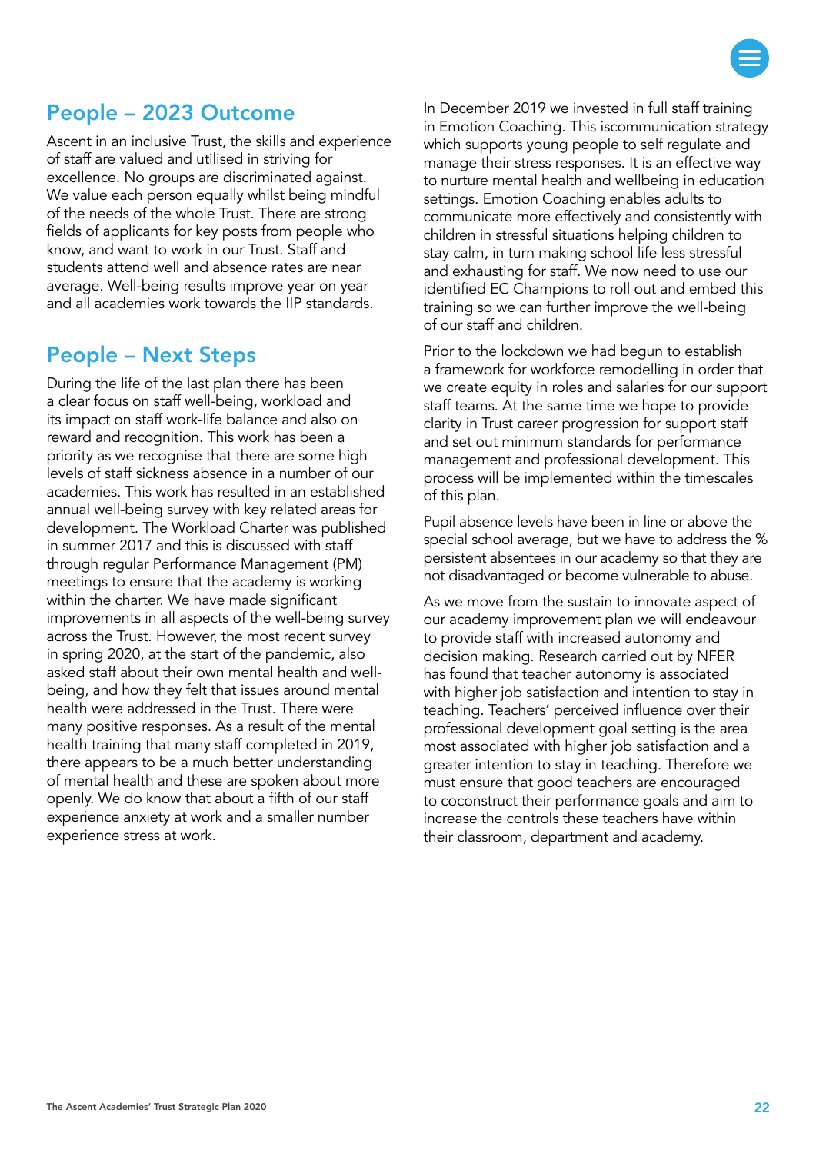

### People – 2023 Outcome

Ascent in an inclusive Trust, the skills and experience of staff are valued and utilised in striving for excellence. No groups are discriminated against. We value each person equally whilst being mindful of the needs of the whole Trust. There are strong fields of applicants for key posts from people who know, and want to work in our Trust. Staff and students attend well and absence rates are near average. Well-being results improve year on year and all academies work towards the IIP standards.

### People – Next Steps

During the life of the last plan there has been a clear focus on staff well-being, workload and its impact on staff work-life balance and also on reward and recognition. This work has been a priority as we recognise that there are some high levels of staff sickness absence in a number of our academies. This work has resulted in an established annual well-being survey with key related areas for development. The Workload Charter was published in summer 2017 and this is discussed with staff through regular Performance Management (PM) meetings to ensure that the academy is working within the charter. We have made significant improvements in all aspects of the well-being survey across the Trust. However, the most recent survey in spring 2020, at the start of the pandemic, also asked staff about their own mental health and wellbeing, and how they felt that issues around mental health were addressed in the Trust. There were many positive responses. As a result of the mental health training that many staff completed in 2019, there appears to be a much better understanding of mental health and these are spoken about more openly. We do know that about a fifth of our staff experience anxiety at work and a smaller number experience stress at work.

In December 2019 we invested in full staff training in Emotion Coaching. This iscommunication strategy which supports young people to self regulate and manage their stress responses. It is an effective way to nurture mental health and wellbeing in education settings. Emotion Coaching enables adults to communicate more effectively and consistently with children in stressful situations helping children to stay calm, in turn making school life less stressful and exhausting for staff. We now need to use our identified EC Champions to roll out and embed this training so we can further improve the well-being of our staff and children.

Prior to the lockdown we had begun to establish a framework for workforce remodelling in order that we create equity in roles and salaries for our support staff teams. At the same time we hope to provide clarity in Trust career progression for support staff and set out minimum standards for performance management and professional development. This process will be implemented within the timescales of this plan.

Pupil absence levels have been in line or above the special school average, but we have to address the % persistent absentees in our academy so that they are not disadvantaged or become vulnerable to abuse.

As we move from the sustain to innovate aspect of our academy improvement plan we will endeavour to provide staff with increased autonomy and decision making. Research carried out by NFER has found that teacher autonomy is associated with higher job satisfaction and intention to stay in teaching. Teachers' perceived influence over their professional development goal setting is the area most associated with higher job satisfaction and a greater intention to stay in teaching. Therefore we must ensure that good teachers are encouraged to coconstruct their performance goals and aim to increase the controls these teachers have within their classroom, department and academy.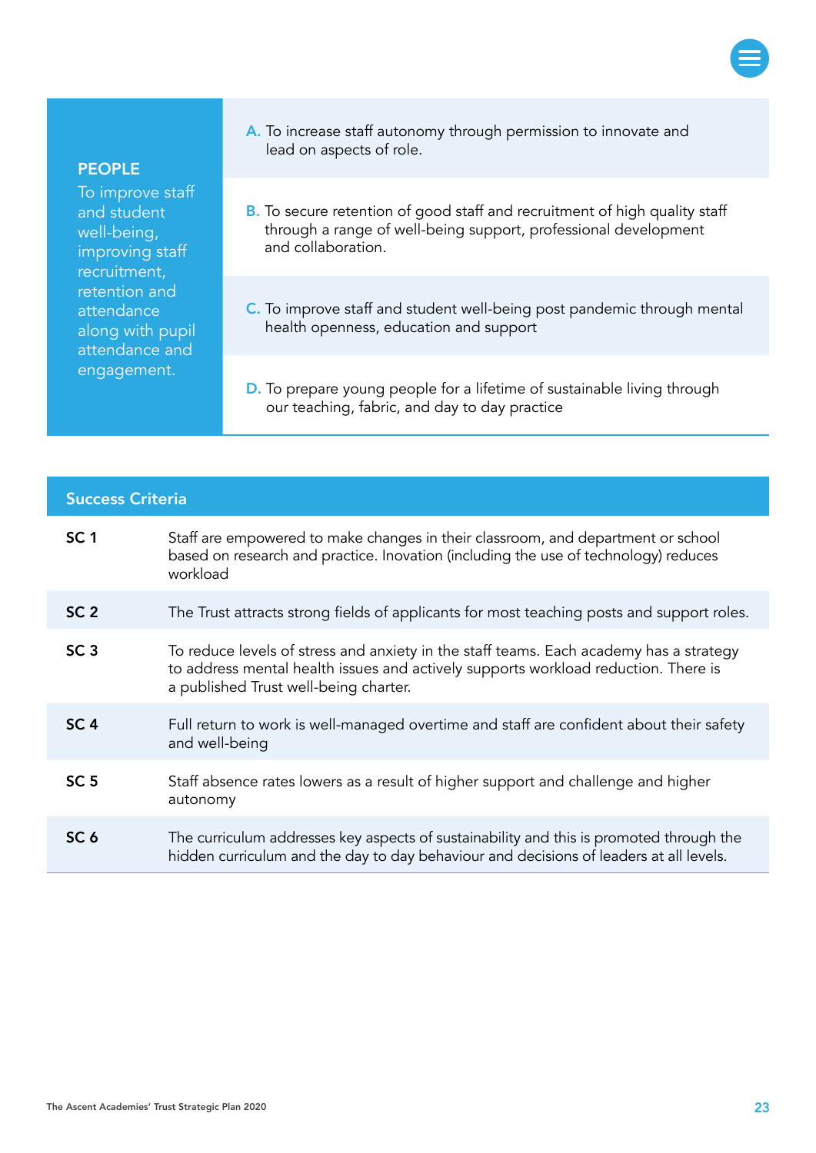

#### PEOPLE

To improve staff and student well-being, improving staff recruitment, retention and attendance along with pupil attendance and engagement.

- A. To increase staff autonomy through permission to innovate and lead on aspects of role.
- B. To secure retention of good staff and recruitment of high quality staff through a range of well-being support, professional development and collaboration.
- C. To improve staff and student well-being post pandemic through mental health openness, education and support
- D. To prepare young people for a lifetime of sustainable living through our teaching, fabric, and day to day practice

#### Success Criteria

| SC <sub>1</sub> | Staff are empowered to make changes in their classroom, and department or school<br>based on research and practice. Inovation (including the use of technology) reduces<br>workload                                   |
|-----------------|-----------------------------------------------------------------------------------------------------------------------------------------------------------------------------------------------------------------------|
| SC <sub>2</sub> | The Trust attracts strong fields of applicants for most teaching posts and support roles.                                                                                                                             |
| SC <sub>3</sub> | To reduce levels of stress and anxiety in the staff teams. Each academy has a strategy<br>to address mental health issues and actively supports workload reduction. There is<br>a published Trust well-being charter. |
| SC <sub>4</sub> | Full return to work is well-managed overtime and staff are confident about their safety<br>and well-being                                                                                                             |
| SC <sub>5</sub> | Staff absence rates lowers as a result of higher support and challenge and higher<br>autonomy                                                                                                                         |
| SC <sub>6</sub> | The curriculum addresses key aspects of sustainability and this is promoted through the<br>hidden curriculum and the day to day behaviour and decisions of leaders at all levels.                                     |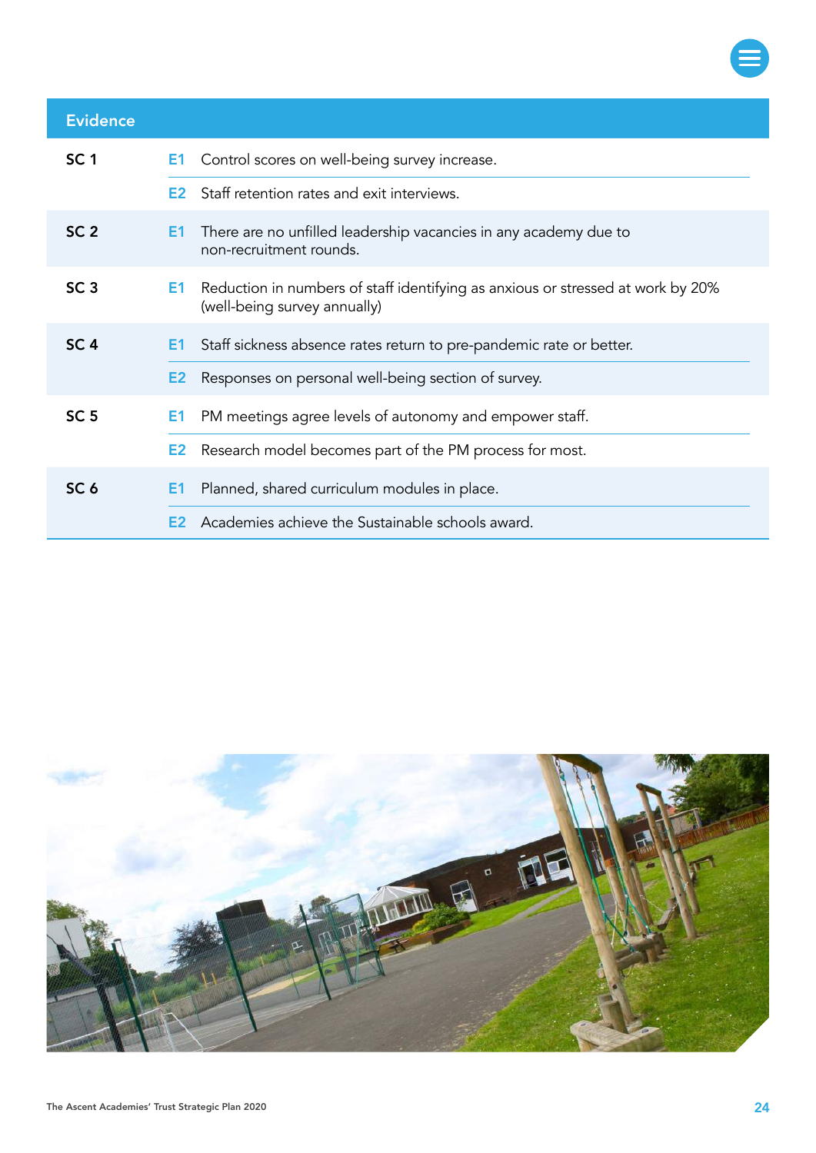

| <b>Evidence</b> |                                                                                                                       |
|-----------------|-----------------------------------------------------------------------------------------------------------------------|
| SC <sub>1</sub> | Control scores on well-being survey increase.<br>E1                                                                   |
|                 | Staff retention rates and exit interviews.<br>E <sub>2</sub>                                                          |
| SC <sub>2</sub> | There are no unfilled leadership vacancies in any academy due to<br>E1<br>non-recruitment rounds.                     |
| SC <sub>3</sub> | Reduction in numbers of staff identifying as anxious or stressed at work by 20%<br>E1<br>(well-being survey annually) |
| SC <sub>4</sub> | Staff sickness absence rates return to pre-pandemic rate or better.<br>E1                                             |
|                 | Responses on personal well-being section of survey.<br>E <sub>2</sub>                                                 |
| SC <sub>5</sub> | PM meetings agree levels of autonomy and empower staff.<br>E1                                                         |
|                 | Research model becomes part of the PM process for most.<br>E <sub>2</sub>                                             |
| SC <sub>6</sub> | Planned, shared curriculum modules in place.<br>E1                                                                    |
|                 | Academies achieve the Sustainable schools award.<br>E2                                                                |

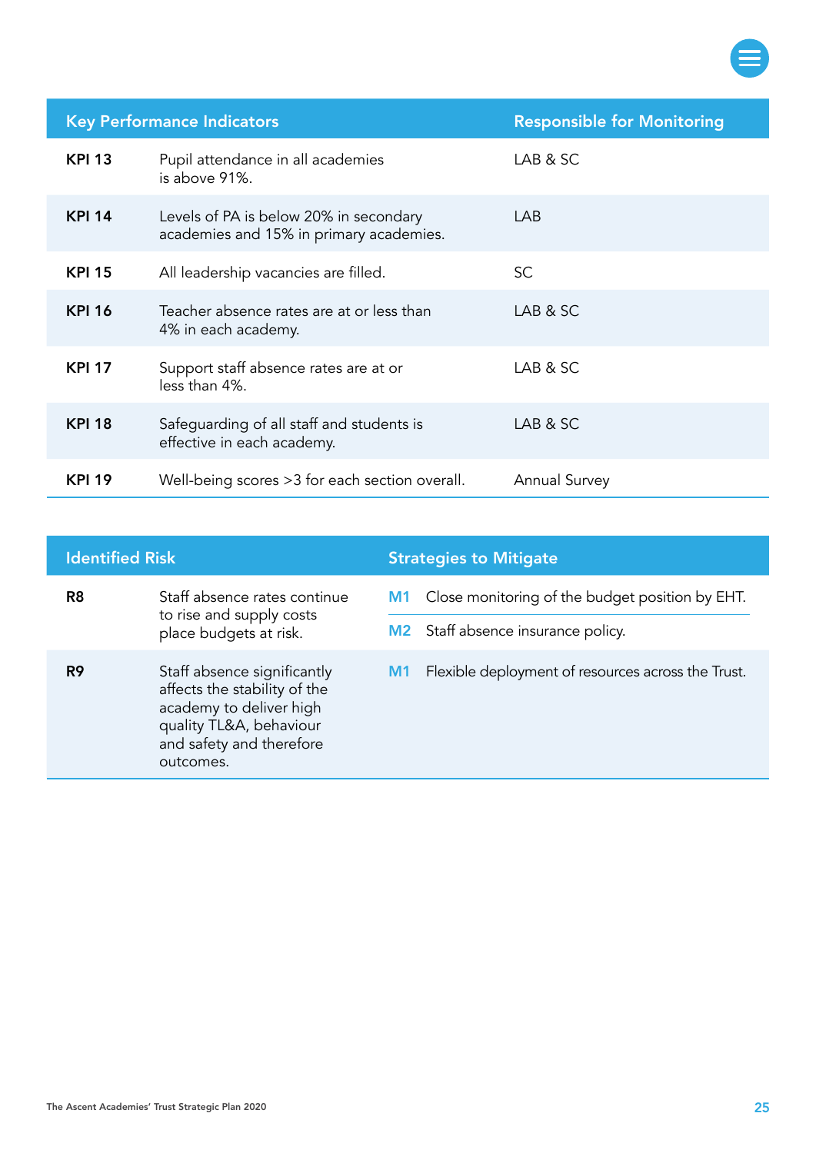

| <b>Key Performance Indicators</b> |                                                                                   | <b>Responsible for Monitoring</b> |
|-----------------------------------|-----------------------------------------------------------------------------------|-----------------------------------|
| <b>KPI 13</b>                     | Pupil attendance in all academies<br>is above 91%.                                | LAB & SC                          |
| <b>KPI 14</b>                     | Levels of PA is below 20% in secondary<br>academies and 15% in primary academies. | <b>LAB</b>                        |
| <b>KPI 15</b>                     | All leadership vacancies are filled.                                              | <b>SC</b>                         |
| <b>KPI 16</b>                     | Teacher absence rates are at or less than<br>4% in each academy.                  | LAB & SC                          |
| <b>KPI 17</b>                     | Support staff absence rates are at or<br>less than 4%.                            | LAB & SC                          |
| <b>KPI 18</b>                     | Safeguarding of all staff and students is<br>effective in each academy.           | LAB & SC                          |
| <b>KPI 19</b>                     | Well-being scores > 3 for each section overall.                                   | <b>Annual Survey</b>              |

| <b>Identified Risk</b> |                                                                                                                                                            |    | <b>Strategies to Mitigate</b>                                                                   |  |
|------------------------|------------------------------------------------------------------------------------------------------------------------------------------------------------|----|-------------------------------------------------------------------------------------------------|--|
| R <sub>8</sub>         | Staff absence rates continue<br>to rise and supply costs<br>place budgets at risk.                                                                         |    | M1 Close monitoring of the budget position by EHT.<br><b>M2</b> Staff absence insurance policy. |  |
| R <sub>9</sub>         | Staff absence significantly<br>affects the stability of the<br>academy to deliver high<br>quality TL&A, behaviour<br>and safety and therefore<br>outcomes. | M1 | Flexible deployment of resources across the Trust.                                              |  |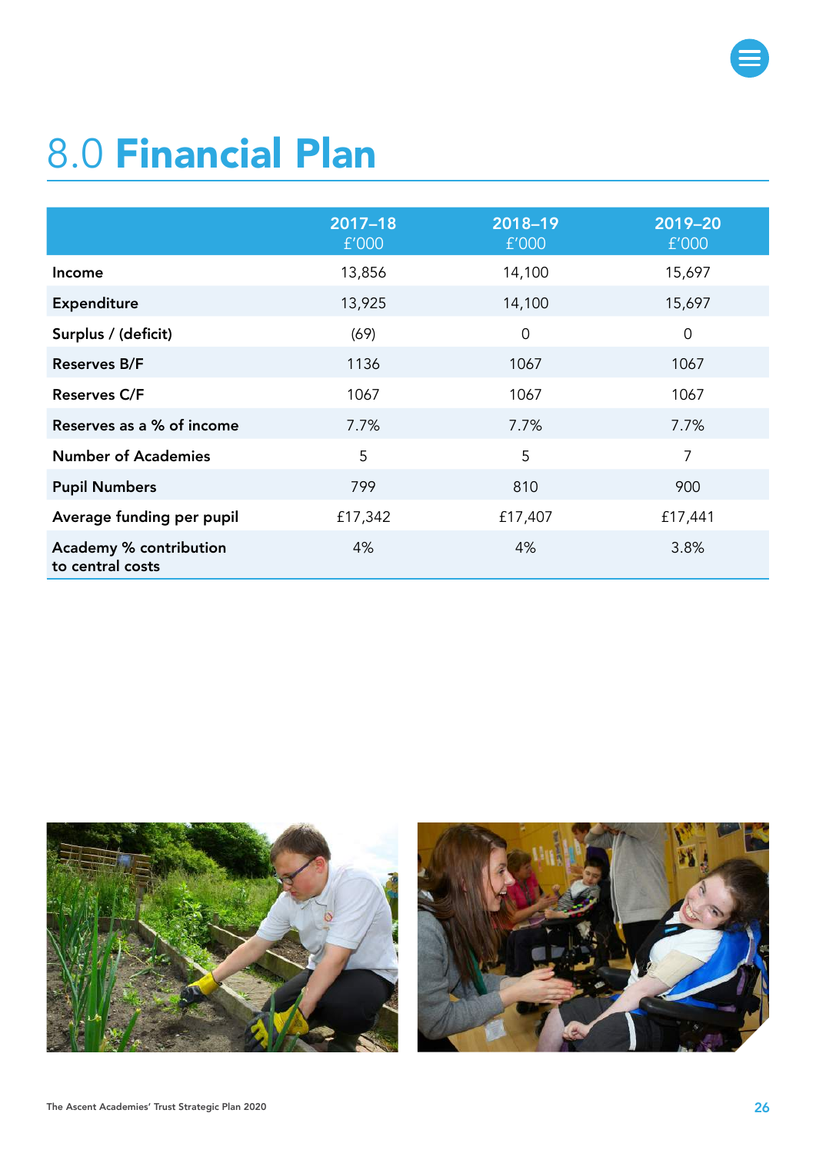

## 8.0 Financial Plan

|                                                   | $2017 - 18$<br>f'000 | 2018-19<br>f'000 | 2019-20<br>f'000 |
|---------------------------------------------------|----------------------|------------------|------------------|
| Income                                            | 13,856               | 14,100           | 15,697           |
| <b>Expenditure</b>                                | 13,925               | 14,100           | 15,697           |
| Surplus / (deficit)                               | (69)                 | $\mathbf 0$      | $\mathbf 0$      |
| <b>Reserves B/F</b>                               | 1136                 | 1067             | 1067             |
| <b>Reserves C/F</b>                               | 1067                 | 1067             | 1067             |
| Reserves as a % of income                         | 7.7%                 | 7.7%             | 7.7%             |
| <b>Number of Academies</b>                        | 5                    | 5                | 7                |
| <b>Pupil Numbers</b>                              | 799                  | 810              | 900              |
| Average funding per pupil                         | £17,342              | £17,407          | £17,441          |
| <b>Academy % contribution</b><br>to central costs | 4%                   | 4%               | 3.8%             |



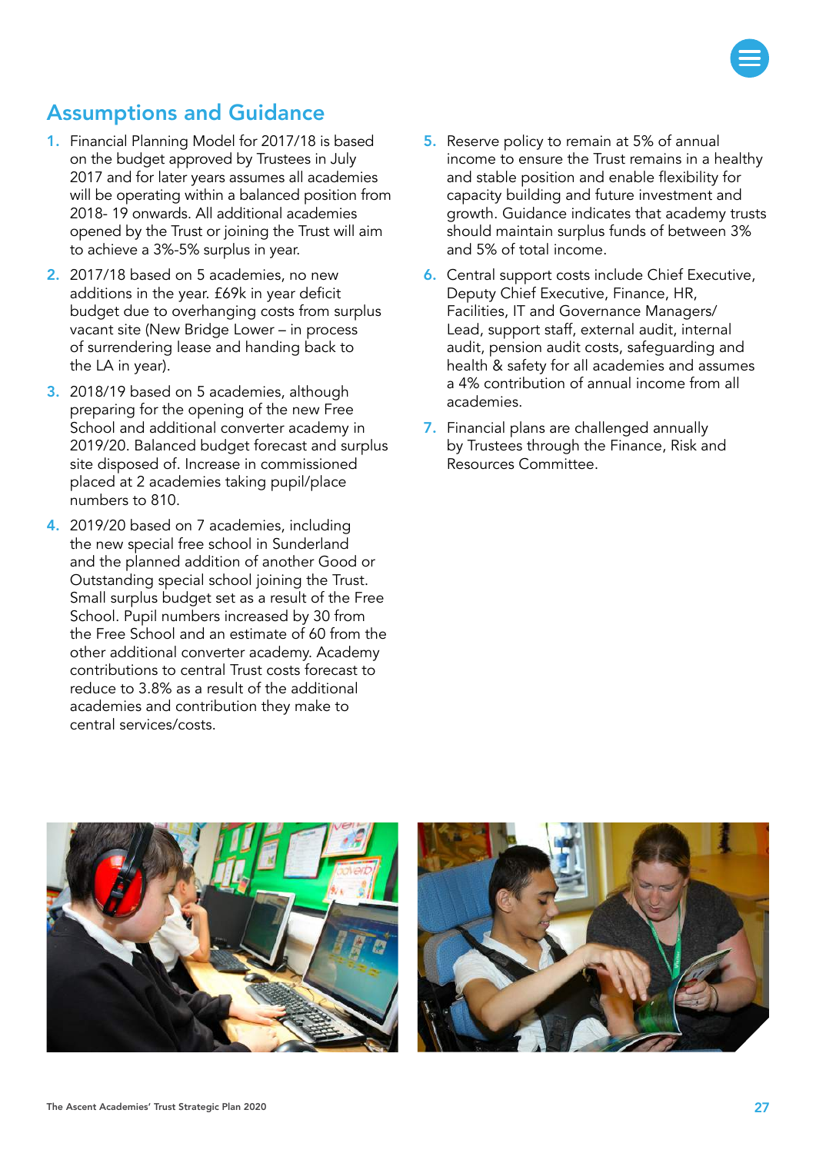

## Assumptions and Guidance

- 1. Financial Planning Model for 2017/18 is based on the budget approved by Trustees in July 2017 and for later years assumes all academies will be operating within a balanced position from 2018- 19 onwards. All additional academies opened by the Trust or joining the Trust will aim to achieve a 3%-5% surplus in year.
- 2. 2017/18 based on 5 academies, no new additions in the year. £69k in year deficit budget due to overhanging costs from surplus vacant site (New Bridge Lower – in process of surrendering lease and handing back to the LA in year).
- 3. 2018/19 based on 5 academies, although preparing for the opening of the new Free School and additional converter academy in 2019/20. Balanced budget forecast and surplus site disposed of. Increase in commissioned placed at 2 academies taking pupil/place numbers to 810.
- 4. 2019/20 based on 7 academies, including the new special free school in Sunderland and the planned addition of another Good or Outstanding special school joining the Trust. Small surplus budget set as a result of the Free School. Pupil numbers increased by 30 from the Free School and an estimate of 60 from the other additional converter academy. Academy contributions to central Trust costs forecast to reduce to 3.8% as a result of the additional academies and contribution they make to central services/costs.
- 5. Reserve policy to remain at 5% of annual income to ensure the Trust remains in a healthy and stable position and enable flexibility for capacity building and future investment and growth. Guidance indicates that academy trusts should maintain surplus funds of between 3% and 5% of total income.
- 6. Central support costs include Chief Executive, Deputy Chief Executive, Finance, HR, Facilities, IT and Governance Managers/ Lead, support staff, external audit, internal audit, pension audit costs, safeguarding and health & safety for all academies and assumes a 4% contribution of annual income from all academies.
- 7. Financial plans are challenged annually by Trustees through the Finance, Risk and Resources Committee.



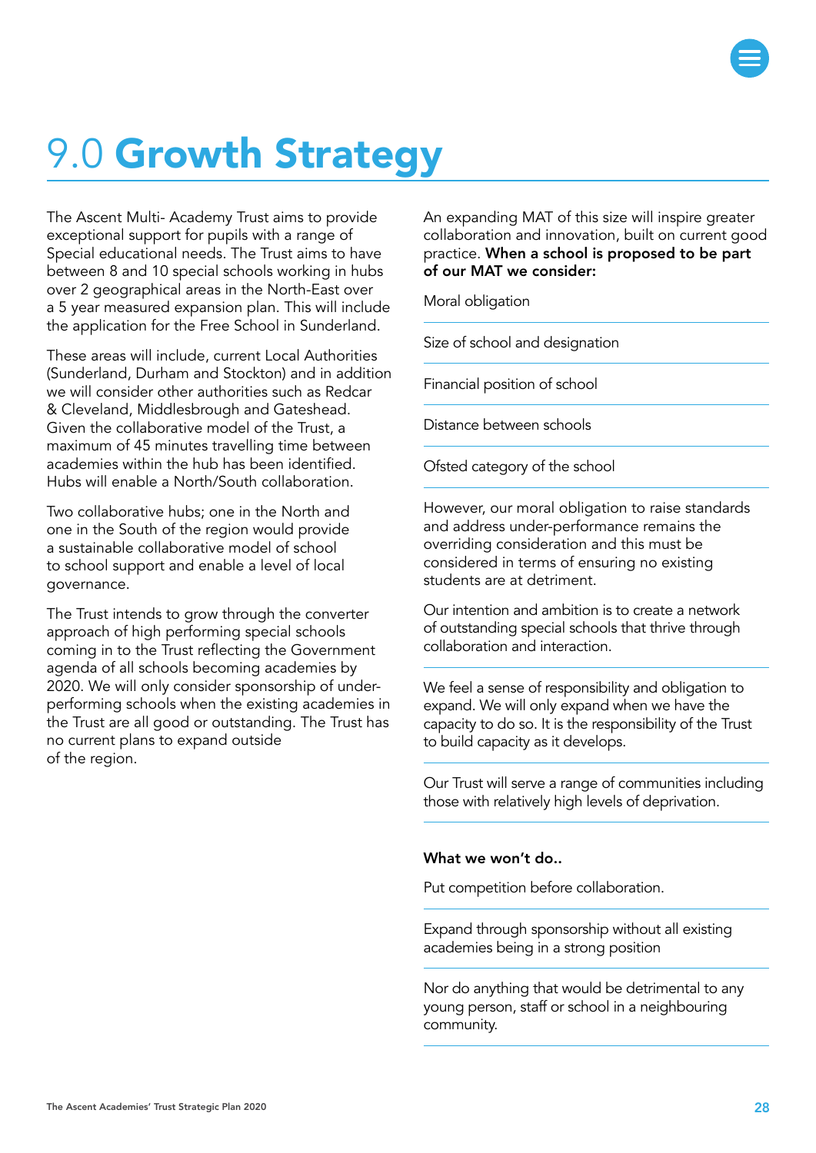

## 9.0 Growth Strategy

The Ascent Multi- Academy Trust aims to provide exceptional support for pupils with a range of Special educational needs. The Trust aims to have between 8 and 10 special schools working in hubs over 2 geographical areas in the North-East over a 5 year measured expansion plan. This will include the application for the Free School in Sunderland.

These areas will include, current Local Authorities (Sunderland, Durham and Stockton) and in addition we will consider other authorities such as Redcar & Cleveland, Middlesbrough and Gateshead. Given the collaborative model of the Trust, a maximum of 45 minutes travelling time between academies within the hub has been identified. Hubs will enable a North/South collaboration.

Two collaborative hubs; one in the North and one in the South of the region would provide a sustainable collaborative model of school to school support and enable a level of local governance.

The Trust intends to grow through the converter approach of high performing special schools coming in to the Trust reflecting the Government agenda of all schools becoming academies by 2020. We will only consider sponsorship of underperforming schools when the existing academies in the Trust are all good or outstanding. The Trust has no current plans to expand outside of the region.

An expanding MAT of this size will inspire greater collaboration and innovation, built on current good practice. When a school is proposed to be part of our MAT we consider:

Moral obligation

Size of school and designation

Financial position of school

Distance between schools

Ofsted category of the school

However, our moral obligation to raise standards and address under-performance remains the overriding consideration and this must be considered in terms of ensuring no existing students are at detriment.

Our intention and ambition is to create a network of outstanding special schools that thrive through collaboration and interaction.

We feel a sense of responsibility and obligation to expand. We will only expand when we have the capacity to do so. It is the responsibility of the Trust to build capacity as it develops.

Our Trust will serve a range of communities including those with relatively high levels of deprivation.

#### What we won't do..

Put competition before collaboration.

Expand through sponsorship without all existing academies being in a strong position

Nor do anything that would be detrimental to any young person, staff or school in a neighbouring community.